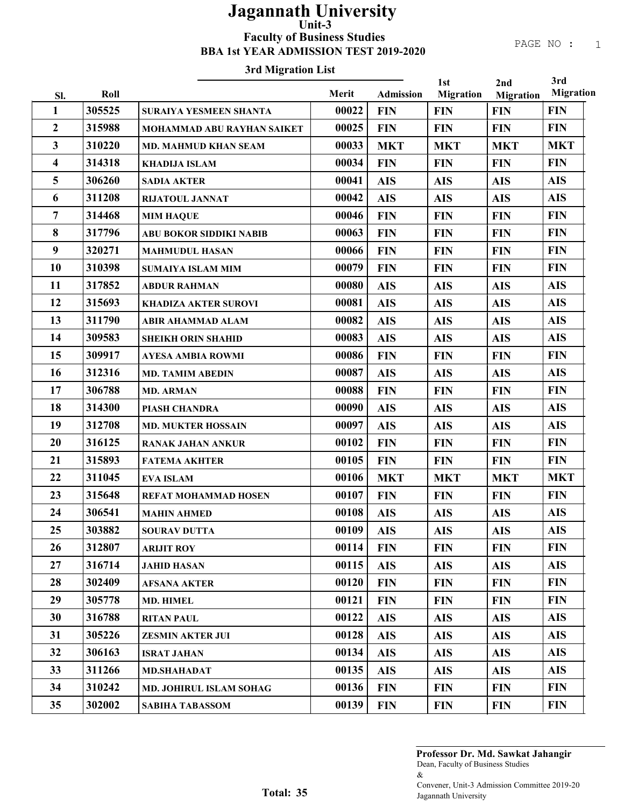#### PAGE NO : 1

## 3rd Migration List

|                         |        |                                |       |                  | 1st              | 2nd              | 3rd              |
|-------------------------|--------|--------------------------------|-------|------------------|------------------|------------------|------------------|
| Sl.                     | Roll   |                                | Merit | <b>Admission</b> | <b>Migration</b> | <b>Migration</b> | <b>Migration</b> |
| 1                       | 305525 | <b>SURAIYA YESMEEN SHANTA</b>  | 00022 | <b>FIN</b>       | <b>FIN</b>       | <b>FIN</b>       | <b>FIN</b>       |
| $\boldsymbol{2}$        | 315988 | MOHAMMAD ABU RAYHAN SAIKET     | 00025 | <b>FIN</b>       | <b>FIN</b>       | <b>FIN</b>       | <b>FIN</b>       |
| 3                       | 310220 | <b>MD. MAHMUD KHAN SEAM</b>    | 00033 | <b>MKT</b>       | <b>MKT</b>       | <b>MKT</b>       | <b>MKT</b>       |
| $\overline{\mathbf{4}}$ | 314318 | <b>KHADIJA ISLAM</b>           | 00034 | <b>FIN</b>       | <b>FIN</b>       | <b>FIN</b>       | <b>FIN</b>       |
| 5                       | 306260 | <b>SADIA AKTER</b>             | 00041 | <b>AIS</b>       | <b>AIS</b>       | <b>AIS</b>       | <b>AIS</b>       |
| 6                       | 311208 | <b>RIJATOUL JANNAT</b>         | 00042 | <b>AIS</b>       | <b>AIS</b>       | <b>AIS</b>       | <b>AIS</b>       |
| $\overline{7}$          | 314468 | <b>MIM HAQUE</b>               | 00046 | <b>FIN</b>       | <b>FIN</b>       | <b>FIN</b>       | <b>FIN</b>       |
| 8                       | 317796 | <b>ABU BOKOR SIDDIKI NABIB</b> | 00063 | <b>FIN</b>       | <b>FIN</b>       | <b>FIN</b>       | <b>FIN</b>       |
| 9                       | 320271 | <b>MAHMUDUL HASAN</b>          | 00066 | <b>FIN</b>       | <b>FIN</b>       | <b>FIN</b>       | <b>FIN</b>       |
| 10                      | 310398 | <b>SUMAIYA ISLAM MIM</b>       | 00079 | <b>FIN</b>       | <b>FIN</b>       | <b>FIN</b>       | <b>FIN</b>       |
| 11                      | 317852 | <b>ABDUR RAHMAN</b>            | 00080 | <b>AIS</b>       | <b>AIS</b>       | <b>AIS</b>       | <b>AIS</b>       |
| 12                      | 315693 | <b>KHADIZA AKTER SUROVI</b>    | 00081 | <b>AIS</b>       | <b>AIS</b>       | <b>AIS</b>       | <b>AIS</b>       |
| 13                      | 311790 | <b>ABIR AHAMMAD ALAM</b>       | 00082 | <b>AIS</b>       | <b>AIS</b>       | <b>AIS</b>       | <b>AIS</b>       |
| 14                      | 309583 | <b>SHEIKH ORIN SHAHID</b>      | 00083 | <b>AIS</b>       | <b>AIS</b>       | <b>AIS</b>       | <b>AIS</b>       |
| 15                      | 309917 | <b>AYESA AMBIA ROWMI</b>       | 00086 | <b>FIN</b>       | <b>FIN</b>       | <b>FIN</b>       | <b>FIN</b>       |
| 16                      | 312316 | <b>MD. TAMIM ABEDIN</b>        | 00087 | <b>AIS</b>       | <b>AIS</b>       | <b>AIS</b>       | <b>AIS</b>       |
| 17                      | 306788 | <b>MD. ARMAN</b>               | 00088 | <b>FIN</b>       | <b>FIN</b>       | <b>FIN</b>       | <b>FIN</b>       |
| 18                      | 314300 | PIASH CHANDRA                  | 00090 | <b>AIS</b>       | <b>AIS</b>       | <b>AIS</b>       | <b>AIS</b>       |
| 19                      | 312708 | <b>MD. MUKTER HOSSAIN</b>      | 00097 | <b>AIS</b>       | <b>AIS</b>       | <b>AIS</b>       | <b>AIS</b>       |
| 20                      | 316125 | <b>RANAK JAHAN ANKUR</b>       | 00102 | <b>FIN</b>       | <b>FIN</b>       | <b>FIN</b>       | <b>FIN</b>       |
| 21                      | 315893 | <b>FATEMA AKHTER</b>           | 00105 | <b>FIN</b>       | <b>FIN</b>       | <b>FIN</b>       | <b>FIN</b>       |
| 22                      | 311045 | <b>EVA ISLAM</b>               | 00106 | <b>MKT</b>       | <b>MKT</b>       | <b>MKT</b>       | <b>MKT</b>       |
| 23                      | 315648 | <b>REFAT MOHAMMAD HOSEN</b>    | 00107 | <b>FIN</b>       | <b>FIN</b>       | <b>FIN</b>       | <b>FIN</b>       |
| 24                      | 306541 | <b>MAHIN AHMED</b>             | 00108 | <b>AIS</b>       | <b>AIS</b>       | <b>AIS</b>       | <b>AIS</b>       |
| 25                      | 303882 | <b>SOURAV DUTTA</b>            | 00109 | <b>AIS</b>       | <b>AIS</b>       | <b>AIS</b>       | <b>AIS</b>       |
| 26                      | 312807 | <b>ARIJIT ROY</b>              | 00114 | <b>FIN</b>       | <b>FIN</b>       | <b>FIN</b>       | <b>FIN</b>       |
| 27                      | 316714 | <b>JAHID HASAN</b>             | 00115 | <b>AIS</b>       | <b>AIS</b>       | <b>AIS</b>       | <b>AIS</b>       |
| 28                      | 302409 | <b>AFSANA AKTER</b>            | 00120 | <b>FIN</b>       | <b>FIN</b>       | <b>FIN</b>       | <b>FIN</b>       |
| 29                      | 305778 | <b>MD. HIMEL</b>               | 00121 | <b>FIN</b>       | <b>FIN</b>       | <b>FIN</b>       | <b>FIN</b>       |
| 30                      | 316788 | <b>RITAN PAUL</b>              | 00122 | <b>AIS</b>       | <b>AIS</b>       | <b>AIS</b>       | <b>AIS</b>       |
| 31                      | 305226 | <b>ZESMIN AKTER JUI</b>        | 00128 | <b>AIS</b>       | <b>AIS</b>       | <b>AIS</b>       | <b>AIS</b>       |
| 32                      | 306163 | <b>ISRAT JAHAN</b>             | 00134 | <b>AIS</b>       | <b>AIS</b>       | <b>AIS</b>       | <b>AIS</b>       |
| 33                      | 311266 | <b>MD.SHAHADAT</b>             | 00135 | <b>AIS</b>       | <b>AIS</b>       | <b>AIS</b>       | <b>AIS</b>       |
| 34                      | 310242 | MD. JOHIRUL ISLAM SOHAG        | 00136 | <b>FIN</b>       | <b>FIN</b>       | <b>FIN</b>       | <b>FIN</b>       |
| 35                      | 302002 | <b>SABIHA TABASSOM</b>         | 00139 | <b>FIN</b>       | <b>FIN</b>       | <b>FIN</b>       | <b>FIN</b>       |

Dean, Faculty of Business Studies & Convener, Unit-3 Admission Committee 2019-20 Jagannath University Professor Dr. Md. Sawkat Jahangir

Total: 35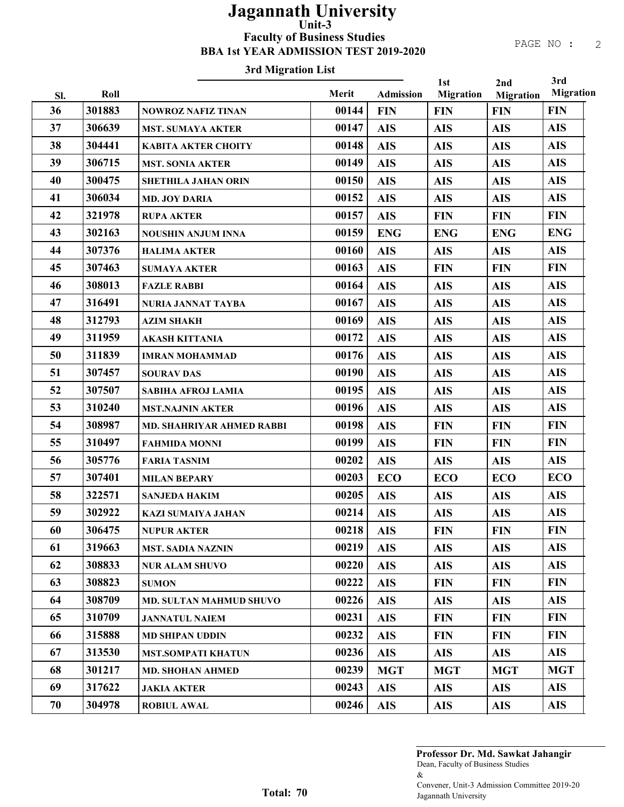### 3rd Migration List

|     |        |                                  |       |                  | 1st              | 2nd              | 3rd              |
|-----|--------|----------------------------------|-------|------------------|------------------|------------------|------------------|
| Sl. | Roll   |                                  | Merit | <b>Admission</b> | <b>Migration</b> | <b>Migration</b> | <b>Migration</b> |
| 36  | 301883 | <b>NOWROZ NAFIZ TINAN</b>        | 00144 | <b>FIN</b>       | <b>FIN</b>       | <b>FIN</b>       | <b>FIN</b>       |
| 37  | 306639 | <b>MST. SUMAYA AKTER</b>         | 00147 | <b>AIS</b>       | <b>AIS</b>       | <b>AIS</b>       | <b>AIS</b>       |
| 38  | 304441 | <b>KABITA AKTER CHOITY</b>       | 00148 | <b>AIS</b>       | <b>AIS</b>       | <b>AIS</b>       | <b>AIS</b>       |
| 39  | 306715 | <b>MST. SONIA AKTER</b>          | 00149 | <b>AIS</b>       | <b>AIS</b>       | <b>AIS</b>       | <b>AIS</b>       |
| 40  | 300475 | <b>SHETHILA JAHAN ORIN</b>       | 00150 | <b>AIS</b>       | <b>AIS</b>       | <b>AIS</b>       | <b>AIS</b>       |
| 41  | 306034 | <b>MD. JOY DARIA</b>             | 00152 | <b>AIS</b>       | <b>AIS</b>       | <b>AIS</b>       | <b>AIS</b>       |
| 42  | 321978 | <b>RUPA AKTER</b>                | 00157 | <b>AIS</b>       | <b>FIN</b>       | <b>FIN</b>       | <b>FIN</b>       |
| 43  | 302163 | <b>NOUSHIN ANJUM INNA</b>        | 00159 | <b>ENG</b>       | <b>ENG</b>       | <b>ENG</b>       | <b>ENG</b>       |
| 44  | 307376 | <b>HALIMA AKTER</b>              | 00160 | <b>AIS</b>       | <b>AIS</b>       | <b>AIS</b>       | <b>AIS</b>       |
| 45  | 307463 | <b>SUMAYA AKTER</b>              | 00163 | <b>AIS</b>       | <b>FIN</b>       | <b>FIN</b>       | <b>FIN</b>       |
| 46  | 308013 | <b>FAZLE RABBI</b>               | 00164 | <b>AIS</b>       | <b>AIS</b>       | <b>AIS</b>       | <b>AIS</b>       |
| 47  | 316491 | NURIA JANNAT TAYBA               | 00167 | <b>AIS</b>       | <b>AIS</b>       | <b>AIS</b>       | <b>AIS</b>       |
| 48  | 312793 | <b>AZIM SHAKH</b>                | 00169 | <b>AIS</b>       | <b>AIS</b>       | <b>AIS</b>       | <b>AIS</b>       |
| 49  | 311959 | <b>AKASH KITTANIA</b>            | 00172 | <b>AIS</b>       | <b>AIS</b>       | <b>AIS</b>       | <b>AIS</b>       |
| 50  | 311839 | <b>IMRAN MOHAMMAD</b>            | 00176 | <b>AIS</b>       | <b>AIS</b>       | <b>AIS</b>       | <b>AIS</b>       |
| 51  | 307457 | <b>SOURAV DAS</b>                | 00190 | <b>AIS</b>       | <b>AIS</b>       | <b>AIS</b>       | <b>AIS</b>       |
| 52  | 307507 | <b>SABIHA AFROJ LAMIA</b>        | 00195 | <b>AIS</b>       | <b>AIS</b>       | <b>AIS</b>       | <b>AIS</b>       |
| 53  | 310240 | <b>MST.NAJNIN AKTER</b>          | 00196 | <b>AIS</b>       | <b>AIS</b>       | <b>AIS</b>       | <b>AIS</b>       |
| 54  | 308987 | <b>MD. SHAHRIYAR AHMED RABBI</b> | 00198 | <b>AIS</b>       | <b>FIN</b>       | <b>FIN</b>       | <b>FIN</b>       |
| 55  | 310497 | <b>FAHMIDA MONNI</b>             | 00199 | <b>AIS</b>       | <b>FIN</b>       | <b>FIN</b>       | <b>FIN</b>       |
| 56  | 305776 | <b>FARIA TASNIM</b>              | 00202 | <b>AIS</b>       | <b>AIS</b>       | <b>AIS</b>       | <b>AIS</b>       |
| 57  | 307401 | <b>MILAN BEPARY</b>              | 00203 | <b>ECO</b>       | <b>ECO</b>       | <b>ECO</b>       | <b>ECO</b>       |
| 58  | 322571 | <b>SANJEDA HAKIM</b>             | 00205 | <b>AIS</b>       | <b>AIS</b>       | <b>AIS</b>       | <b>AIS</b>       |
| 59  | 302922 | <b>KAZI SUMAIYA JAHAN</b>        | 00214 | <b>AIS</b>       | <b>AIS</b>       | <b>AIS</b>       | <b>AIS</b>       |
| 60  | 306475 | <b>NUPUR AKTER</b>               | 00218 | <b>AIS</b>       | <b>FIN</b>       | <b>FIN</b>       | <b>FIN</b>       |
| 61  | 319663 | <b>MST. SADIA NAZNIN</b>         | 00219 | <b>AIS</b>       | <b>AIS</b>       | <b>AIS</b>       | <b>AIS</b>       |
| 62  | 308833 | <b>NUR ALAM SHUVO</b>            | 00220 | <b>AIS</b>       | <b>AIS</b>       | <b>AIS</b>       | <b>AIS</b>       |
| 63  | 308823 | <b>SUMON</b>                     | 00222 | <b>AIS</b>       | <b>FIN</b>       | <b>FIN</b>       | <b>FIN</b>       |
| 64  | 308709 | MD. SULTAN MAHMUD SHUVO          | 00226 | <b>AIS</b>       | <b>AIS</b>       | <b>AIS</b>       | <b>AIS</b>       |
| 65  | 310709 | <b>JANNATUL NAIEM</b>            | 00231 | <b>AIS</b>       | <b>FIN</b>       | <b>FIN</b>       | <b>FIN</b>       |
| 66  | 315888 | <b>MD SHIPAN UDDIN</b>           | 00232 | <b>AIS</b>       | <b>FIN</b>       | <b>FIN</b>       | <b>FIN</b>       |
| 67  | 313530 | <b>MST.SOMPATI KHATUN</b>        | 00236 | <b>AIS</b>       | <b>AIS</b>       | <b>AIS</b>       | <b>AIS</b>       |
| 68  | 301217 | <b>MD. SHOHAN AHMED</b>          | 00239 | <b>MGT</b>       | <b>MGT</b>       | <b>MGT</b>       | <b>MGT</b>       |
| 69  | 317622 | <b>JAKIA AKTER</b>               | 00243 | <b>AIS</b>       | <b>AIS</b>       | <b>AIS</b>       | <b>AIS</b>       |
| 70  | 304978 | <b>ROBIUL AWAL</b>               | 00246 | <b>AIS</b>       | <b>AIS</b>       | <b>AIS</b>       | <b>AIS</b>       |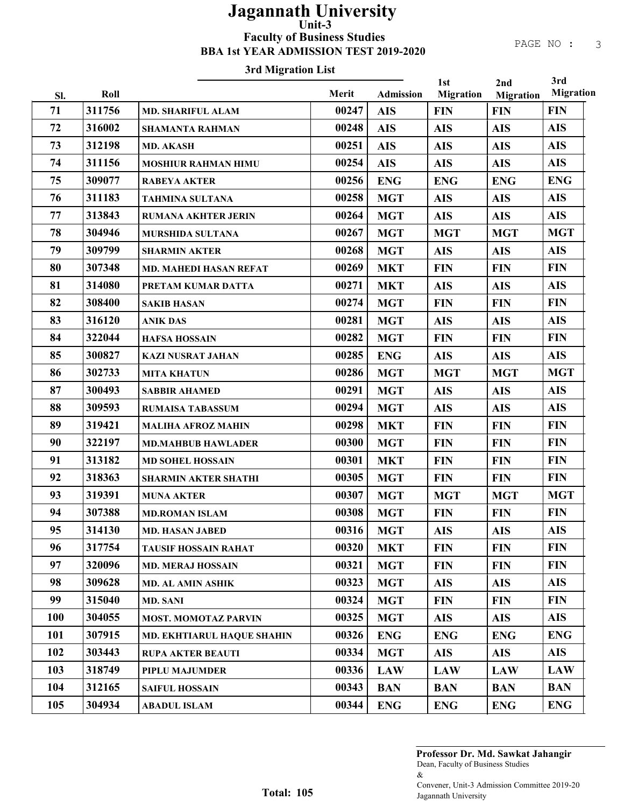## 3rd Migration List

|            |        |                                   |       |                  | 1st              | 2nd              | 3rd              |
|------------|--------|-----------------------------------|-------|------------------|------------------|------------------|------------------|
| SI.        | Roll   |                                   | Merit | <b>Admission</b> | <b>Migration</b> | <b>Migration</b> | <b>Migration</b> |
| 71         | 311756 | <b>MD. SHARIFUL ALAM</b>          | 00247 | <b>AIS</b>       | <b>FIN</b>       | <b>FIN</b>       | <b>FIN</b>       |
| 72         | 316002 | <b>SHAMANTA RAHMAN</b>            | 00248 | <b>AIS</b>       | <b>AIS</b>       | <b>AIS</b>       | <b>AIS</b>       |
| 73         | 312198 | <b>MD. AKASH</b>                  | 00251 | <b>AIS</b>       | <b>AIS</b>       | <b>AIS</b>       | <b>AIS</b>       |
| 74         | 311156 | <b>MOSHIUR RAHMAN HIMU</b>        | 00254 | <b>AIS</b>       | <b>AIS</b>       | <b>AIS</b>       | <b>AIS</b>       |
| 75         | 309077 | <b>RABEYA AKTER</b>               | 00256 | <b>ENG</b>       | <b>ENG</b>       | <b>ENG</b>       | <b>ENG</b>       |
| 76         | 311183 | <b>TAHMINA SULTANA</b>            | 00258 | <b>MGT</b>       | <b>AIS</b>       | <b>AIS</b>       | <b>AIS</b>       |
| 77         | 313843 | <b>RUMANA AKHTER JERIN</b>        | 00264 | <b>MGT</b>       | <b>AIS</b>       | <b>AIS</b>       | <b>AIS</b>       |
| 78         | 304946 | MURSHIDA SULTANA                  | 00267 | <b>MGT</b>       | <b>MGT</b>       | <b>MGT</b>       | <b>MGT</b>       |
| 79         | 309799 | <b>SHARMIN AKTER</b>              | 00268 | <b>MGT</b>       | <b>AIS</b>       | <b>AIS</b>       | <b>AIS</b>       |
| 80         | 307348 | <b>MD. MAHEDI HASAN REFAT</b>     | 00269 | <b>MKT</b>       | <b>FIN</b>       | <b>FIN</b>       | <b>FIN</b>       |
| 81         | 314080 | PRETAM KUMAR DATTA                | 00271 | <b>MKT</b>       | <b>AIS</b>       | <b>AIS</b>       | <b>AIS</b>       |
| 82         | 308400 | <b>SAKIB HASAN</b>                | 00274 | <b>MGT</b>       | <b>FIN</b>       | <b>FIN</b>       | <b>FIN</b>       |
| 83         | 316120 | <b>ANIK DAS</b>                   | 00281 | <b>MGT</b>       | <b>AIS</b>       | <b>AIS</b>       | <b>AIS</b>       |
| 84         | 322044 | <b>HAFSA HOSSAIN</b>              | 00282 | <b>MGT</b>       | <b>FIN</b>       | <b>FIN</b>       | <b>FIN</b>       |
| 85         | 300827 | <b>KAZI NUSRAT JAHAN</b>          | 00285 | <b>ENG</b>       | <b>AIS</b>       | <b>AIS</b>       | <b>AIS</b>       |
| 86         | 302733 | <b>MITA KHATUN</b>                | 00286 | <b>MGT</b>       | <b>MGT</b>       | <b>MGT</b>       | <b>MGT</b>       |
| 87         | 300493 | <b>SABBIR AHAMED</b>              | 00291 | <b>MGT</b>       | <b>AIS</b>       | <b>AIS</b>       | <b>AIS</b>       |
| 88         | 309593 | <b>RUMAISA TABASSUM</b>           | 00294 | <b>MGT</b>       | <b>AIS</b>       | <b>AIS</b>       | <b>AIS</b>       |
| 89         | 319421 | <b>MALIHA AFROZ MAHIN</b>         | 00298 | <b>MKT</b>       | <b>FIN</b>       | <b>FIN</b>       | <b>FIN</b>       |
| 90         | 322197 | <b>MD.MAHBUB HAWLADER</b>         | 00300 | <b>MGT</b>       | <b>FIN</b>       | <b>FIN</b>       | <b>FIN</b>       |
| 91         | 313182 | <b>MD SOHEL HOSSAIN</b>           | 00301 | <b>MKT</b>       | <b>FIN</b>       | <b>FIN</b>       | <b>FIN</b>       |
| 92         | 318363 | <b>SHARMIN AKTER SHATHI</b>       | 00305 | <b>MGT</b>       | <b>FIN</b>       | <b>FIN</b>       | <b>FIN</b>       |
| 93         | 319391 | <b>MUNA AKTER</b>                 | 00307 | <b>MGT</b>       | <b>MGT</b>       | <b>MGT</b>       | <b>MGT</b>       |
| 94         | 307388 | <b>MD.ROMAN ISLAM</b>             | 00308 | <b>MGT</b>       | <b>FIN</b>       | <b>FIN</b>       | <b>FIN</b>       |
| 95         | 314130 | <b>MD. HASAN JABED</b>            | 00316 | <b>MGT</b>       | <b>AIS</b>       | <b>AIS</b>       | <b>AIS</b>       |
| 96         | 317754 | <b>TAUSIF HOSSAIN RAHAT</b>       | 00320 | <b>MKT</b>       | <b>FIN</b>       | <b>FIN</b>       | <b>FIN</b>       |
| 97         | 320096 | <b>MD. MERAJ HOSSAIN</b>          | 00321 | <b>MGT</b>       | <b>FIN</b>       | <b>FIN</b>       | <b>FIN</b>       |
| 98         | 309628 | <b>MD. AL AMIN ASHIK</b>          | 00323 | <b>MGT</b>       | <b>AIS</b>       | <b>AIS</b>       | <b>AIS</b>       |
| 99         | 315040 | <b>MD. SANI</b>                   | 00324 | <b>MGT</b>       | <b>FIN</b>       | <b>FIN</b>       | <b>FIN</b>       |
| <b>100</b> | 304055 | <b>MOST. MOMOTAZ PARVIN</b>       | 00325 | <b>MGT</b>       | <b>AIS</b>       | <b>AIS</b>       | <b>AIS</b>       |
| 101        | 307915 | <b>MD. EKHTIARUL HAQUE SHAHIN</b> | 00326 | <b>ENG</b>       | <b>ENG</b>       | <b>ENG</b>       | <b>ENG</b>       |
| 102        | 303443 | <b>RUPA AKTER BEAUTI</b>          | 00334 | <b>MGT</b>       | <b>AIS</b>       | <b>AIS</b>       | <b>AIS</b>       |
| 103        | 318749 | PIPLU MAJUMDER                    | 00336 | <b>LAW</b>       | <b>LAW</b>       | <b>LAW</b>       | <b>LAW</b>       |
| 104        | 312165 | <b>SAIFUL HOSSAIN</b>             | 00343 | <b>BAN</b>       | <b>BAN</b>       | <b>BAN</b>       | <b>BAN</b>       |
| 105        | 304934 | <b>ABADUL ISLAM</b>               | 00344 | <b>ENG</b>       | <b>ENG</b>       | <b>ENG</b>       | <b>ENG</b>       |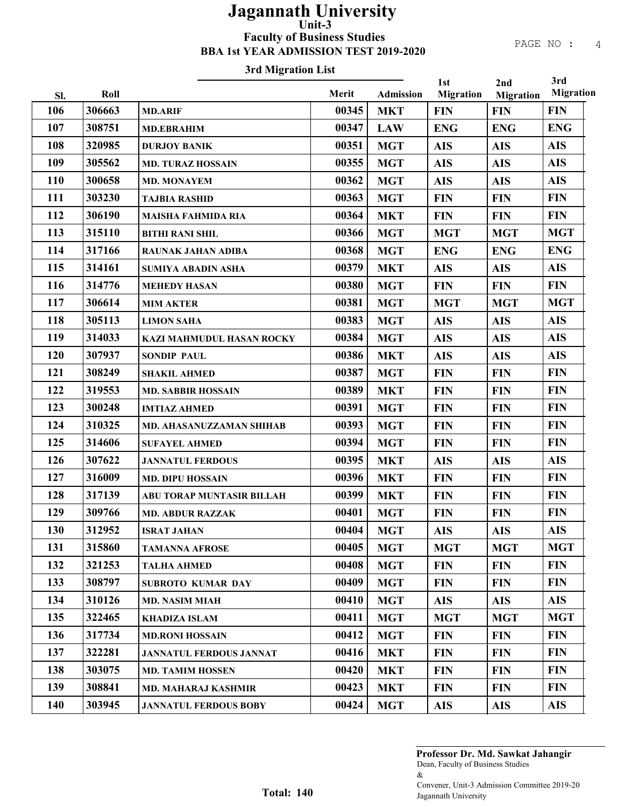## 3rd Migration List

| Merit<br>Roll<br><b>Admission</b><br>Sl.<br>306663<br>106<br>00345<br><b>MKT</b><br><b>MD.ARIF</b><br>107<br>308751<br>00347<br><b>LAW</b><br><b>MD.EBRAHIM</b><br>108<br>320985<br>00351<br><b>MGT</b><br><b>DURJOY BANIK</b> | <b>Migration</b><br><b>FIN</b><br><b>ENG</b><br><b>AIS</b><br><b>AIS</b><br><b>AIS</b> | <b>Migration</b><br><b>FIN</b><br><b>ENG</b><br><b>AIS</b><br><b>AIS</b> | <b>Migration</b><br><b>FIN</b><br><b>ENG</b><br><b>AIS</b> |
|--------------------------------------------------------------------------------------------------------------------------------------------------------------------------------------------------------------------------------|----------------------------------------------------------------------------------------|--------------------------------------------------------------------------|------------------------------------------------------------|
|                                                                                                                                                                                                                                |                                                                                        |                                                                          |                                                            |
|                                                                                                                                                                                                                                |                                                                                        |                                                                          |                                                            |
|                                                                                                                                                                                                                                |                                                                                        |                                                                          |                                                            |
|                                                                                                                                                                                                                                |                                                                                        |                                                                          |                                                            |
| 109<br>305562<br>00355<br><b>MGT</b><br><b>MD. TURAZ HOSSAIN</b>                                                                                                                                                               |                                                                                        |                                                                          | <b>AIS</b>                                                 |
| 110<br>300658<br>00362<br><b>MGT</b><br><b>MD. MONAYEM</b>                                                                                                                                                                     |                                                                                        | <b>AIS</b>                                                               | <b>AIS</b>                                                 |
| 111<br>303230<br>00363<br><b>MGT</b><br><b>TAJBIA RASHID</b>                                                                                                                                                                   | <b>FIN</b>                                                                             | <b>FIN</b>                                                               | <b>FIN</b>                                                 |
| 112<br>306190<br>00364<br><b>MKT</b><br><b>MAISHA FAHMIDA RIA</b>                                                                                                                                                              | <b>FIN</b>                                                                             | <b>FIN</b>                                                               | <b>FIN</b>                                                 |
| 113<br>315110<br>00366<br><b>MGT</b><br><b>BITHI RANI SHIL</b>                                                                                                                                                                 | <b>MGT</b>                                                                             | <b>MGT</b>                                                               | <b>MGT</b>                                                 |
| 114<br>317166<br>00368<br><b>MGT</b><br><b>RAUNAK JAHAN ADIBA</b>                                                                                                                                                              | <b>ENG</b>                                                                             | <b>ENG</b>                                                               | <b>ENG</b>                                                 |
| 115<br>314161<br>00379<br><b>MKT</b><br><b>SUMIYA ABADIN ASHA</b>                                                                                                                                                              | <b>AIS</b>                                                                             | <b>AIS</b>                                                               | <b>AIS</b>                                                 |
| 116<br>314776<br>00380<br><b>MGT</b><br><b>MEHEDY HASAN</b>                                                                                                                                                                    | <b>FIN</b>                                                                             | <b>FIN</b>                                                               | <b>FIN</b>                                                 |
| 117<br>306614<br>00381<br><b>MGT</b><br><b>MIM AKTER</b>                                                                                                                                                                       | <b>MGT</b>                                                                             | <b>MGT</b>                                                               | <b>MGT</b>                                                 |
| 118<br>305113<br>00383<br><b>MGT</b><br><b>LIMON SAHA</b>                                                                                                                                                                      | <b>AIS</b>                                                                             | <b>AIS</b>                                                               | <b>AIS</b>                                                 |
| 119<br>314033<br>00384<br><b>MGT</b><br>KAZI MAHMUDUL HASAN ROCKY                                                                                                                                                              | <b>AIS</b>                                                                             | <b>AIS</b>                                                               | <b>AIS</b>                                                 |
| 120<br>307937<br>00386<br><b>MKT</b><br><b>SONDIP PAUL</b>                                                                                                                                                                     | <b>AIS</b>                                                                             | <b>AIS</b>                                                               | <b>AIS</b>                                                 |
| 121<br>308249<br>00387<br><b>MGT</b><br><b>SHAKIL AHMED</b>                                                                                                                                                                    | <b>FIN</b>                                                                             | <b>FIN</b>                                                               | <b>FIN</b>                                                 |
| 122<br>319553<br>00389<br><b>MKT</b><br><b>MD. SABBIR HOSSAIN</b>                                                                                                                                                              | <b>FIN</b>                                                                             | <b>FIN</b>                                                               | <b>FIN</b>                                                 |
| 123<br>300248<br>00391<br><b>MGT</b><br><b>IMTIAZ AHMED</b>                                                                                                                                                                    | <b>FIN</b>                                                                             | <b>FIN</b>                                                               | <b>FIN</b>                                                 |
| 124<br>00393<br>310325<br><b>MGT</b><br>MD. AHASANUZZAMAN SHIHAB                                                                                                                                                               | <b>FIN</b>                                                                             | <b>FIN</b>                                                               | <b>FIN</b>                                                 |
| 125<br>314606<br>00394<br><b>MGT</b><br><b>SUFAYEL AHMED</b>                                                                                                                                                                   | <b>FIN</b>                                                                             | <b>FIN</b>                                                               | <b>FIN</b>                                                 |
| 126<br>307622<br>00395<br><b>MKT</b><br><b>JANNATUL FERDOUS</b>                                                                                                                                                                | <b>AIS</b>                                                                             | <b>AIS</b>                                                               | <b>AIS</b>                                                 |
| 127<br>316009<br>00396<br><b>MKT</b><br><b>MD. DIPU HOSSAIN</b>                                                                                                                                                                | <b>FIN</b>                                                                             | <b>FIN</b>                                                               | <b>FIN</b>                                                 |
| 128<br>317139<br>00399<br><b>MKT</b><br>ABU TORAP MUNTASIR BILLAH                                                                                                                                                              | <b>FIN</b>                                                                             | <b>FIN</b>                                                               | <b>FIN</b>                                                 |
| 129<br>00401<br>309766<br><b>MGT</b><br><b>MD. ABDUR RAZZAK</b>                                                                                                                                                                | <b>FIN</b>                                                                             | <b>FIN</b>                                                               | <b>FIN</b>                                                 |
| 130<br>312952<br>00404<br><b>MGT</b><br><b>ISRAT JAHAN</b>                                                                                                                                                                     | <b>AIS</b>                                                                             | <b>AIS</b>                                                               | <b>AIS</b>                                                 |
| 131<br>315860<br>00405<br><b>MGT</b><br>TAMANNA AFROSE                                                                                                                                                                         | <b>MGT</b>                                                                             | <b>MGT</b>                                                               | <b>MGT</b>                                                 |
| 132<br>321253<br>00408<br><b>MGT</b><br><b>TALHA AHMED</b>                                                                                                                                                                     | <b>FIN</b>                                                                             | <b>FIN</b>                                                               | <b>FIN</b>                                                 |
| 133<br>308797<br>00409<br><b>MGT</b><br><b>SUBROTO KUMAR DAY</b>                                                                                                                                                               | <b>FIN</b>                                                                             | <b>FIN</b>                                                               | <b>FIN</b>                                                 |
| 134<br>310126<br>00410<br><b>MGT</b><br><b>MD. NASIM MIAH</b>                                                                                                                                                                  | <b>AIS</b>                                                                             | <b>AIS</b>                                                               | <b>AIS</b>                                                 |
| 135<br>00411<br>322465<br><b>MGT</b><br><b>KHADIZA ISLAM</b>                                                                                                                                                                   | <b>MGT</b>                                                                             | <b>MGT</b>                                                               | <b>MGT</b>                                                 |
| 136<br>00412<br>317734<br><b>MGT</b><br><b>MD.RONI HOSSAIN</b>                                                                                                                                                                 | <b>FIN</b>                                                                             | <b>FIN</b>                                                               | <b>FIN</b>                                                 |
| 137<br>322281<br>00416<br><b>MKT</b><br><b>JANNATUL FERDOUS JANNAT</b>                                                                                                                                                         | <b>FIN</b>                                                                             | <b>FIN</b>                                                               | <b>FIN</b>                                                 |
| 138<br>303075<br>00420<br><b>MKT</b><br><b>MD. TAMIM HOSSEN</b>                                                                                                                                                                | <b>FIN</b>                                                                             | <b>FIN</b>                                                               | <b>FIN</b>                                                 |
| 139<br>308841<br>00423<br><b>MKT</b><br><b>MD. MAHARAJ KASHMIR</b>                                                                                                                                                             | <b>FIN</b>                                                                             | <b>FIN</b>                                                               | <b>FIN</b>                                                 |
| 140<br>00424<br>303945<br><b>MGT</b><br><b>JANNATUL FERDOUS BOBY</b>                                                                                                                                                           | <b>AIS</b>                                                                             | <b>AIS</b>                                                               | <b>AIS</b>                                                 |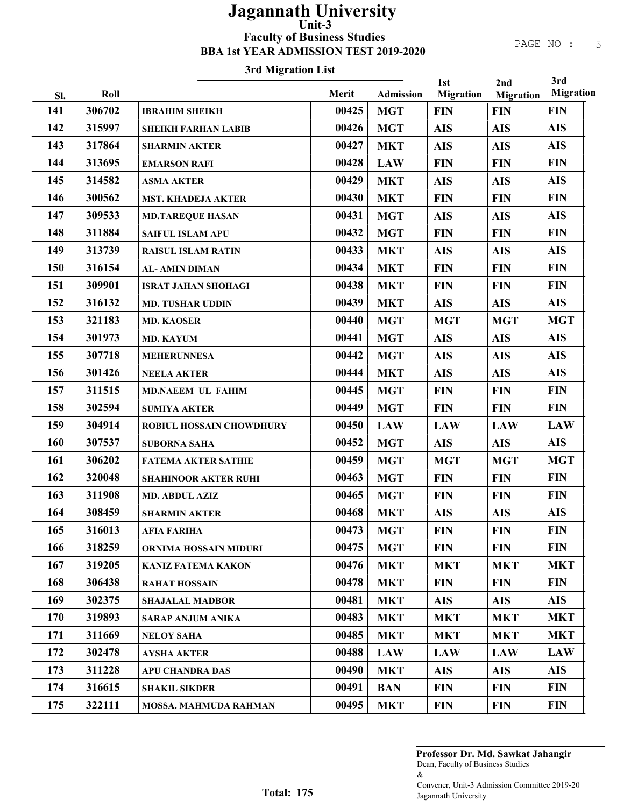## 3rd Migration List

|     |        |                                 |       |                  | 1st              | 2nd              | 3rd              |
|-----|--------|---------------------------------|-------|------------------|------------------|------------------|------------------|
| Sl. | Roll   |                                 | Merit | <b>Admission</b> | <b>Migration</b> | <b>Migration</b> | <b>Migration</b> |
| 141 | 306702 | <b>IBRAHIM SHEIKH</b>           | 00425 | <b>MGT</b>       | <b>FIN</b>       | <b>FIN</b>       | <b>FIN</b>       |
| 142 | 315997 | <b>SHEIKH FARHAN LABIB</b>      | 00426 | <b>MGT</b>       | <b>AIS</b>       | <b>AIS</b>       | <b>AIS</b>       |
| 143 | 317864 | <b>SHARMIN AKTER</b>            | 00427 | <b>MKT</b>       | <b>AIS</b>       | <b>AIS</b>       | <b>AIS</b>       |
| 144 | 313695 | <b>EMARSON RAFI</b>             | 00428 | <b>LAW</b>       | <b>FIN</b>       | <b>FIN</b>       | <b>FIN</b>       |
| 145 | 314582 | <b>ASMA AKTER</b>               | 00429 | <b>MKT</b>       | <b>AIS</b>       | <b>AIS</b>       | <b>AIS</b>       |
| 146 | 300562 | <b>MST. KHADEJA AKTER</b>       | 00430 | <b>MKT</b>       | <b>FIN</b>       | <b>FIN</b>       | <b>FIN</b>       |
| 147 | 309533 | <b>MD.TAREQUE HASAN</b>         | 00431 | <b>MGT</b>       | <b>AIS</b>       | <b>AIS</b>       | <b>AIS</b>       |
| 148 | 311884 | <b>SAIFUL ISLAM APU</b>         | 00432 | <b>MGT</b>       | <b>FIN</b>       | <b>FIN</b>       | <b>FIN</b>       |
| 149 | 313739 | <b>RAISUL ISLAM RATIN</b>       | 00433 | <b>MKT</b>       | <b>AIS</b>       | <b>AIS</b>       | <b>AIS</b>       |
| 150 | 316154 | <b>AL-AMIN DIMAN</b>            | 00434 | <b>MKT</b>       | <b>FIN</b>       | <b>FIN</b>       | <b>FIN</b>       |
| 151 | 309901 | <b>ISRAT JAHAN SHOHAGI</b>      | 00438 | <b>MKT</b>       | <b>FIN</b>       | <b>FIN</b>       | <b>FIN</b>       |
| 152 | 316132 | <b>MD. TUSHAR UDDIN</b>         | 00439 | <b>MKT</b>       | <b>AIS</b>       | <b>AIS</b>       | <b>AIS</b>       |
| 153 | 321183 | <b>MD. KAOSER</b>               | 00440 | <b>MGT</b>       | <b>MGT</b>       | <b>MGT</b>       | <b>MGT</b>       |
| 154 | 301973 | <b>MD. KAYUM</b>                | 00441 | <b>MGT</b>       | <b>AIS</b>       | <b>AIS</b>       | <b>AIS</b>       |
| 155 | 307718 | <b>MEHERUNNESA</b>              | 00442 | <b>MGT</b>       | <b>AIS</b>       | <b>AIS</b>       | <b>AIS</b>       |
| 156 | 301426 | <b>NEELA AKTER</b>              | 00444 | <b>MKT</b>       | <b>AIS</b>       | <b>AIS</b>       | <b>AIS</b>       |
| 157 | 311515 | <b>MD.NAEEM UL FAHIM</b>        | 00445 | <b>MGT</b>       | <b>FIN</b>       | <b>FIN</b>       | <b>FIN</b>       |
| 158 | 302594 | <b>SUMIYA AKTER</b>             | 00449 | <b>MGT</b>       | <b>FIN</b>       | <b>FIN</b>       | <b>FIN</b>       |
| 159 | 304914 | <b>ROBIUL HOSSAIN CHOWDHURY</b> | 00450 | <b>LAW</b>       | <b>LAW</b>       | <b>LAW</b>       | <b>LAW</b>       |
| 160 | 307537 | <b>SUBORNA SAHA</b>             | 00452 | <b>MGT</b>       | <b>AIS</b>       | <b>AIS</b>       | <b>AIS</b>       |
| 161 | 306202 | <b>FATEMA AKTER SATHIE</b>      | 00459 | <b>MGT</b>       | <b>MGT</b>       | <b>MGT</b>       | <b>MGT</b>       |
| 162 | 320048 | <b>SHAHINOOR AKTER RUHI</b>     | 00463 | <b>MGT</b>       | <b>FIN</b>       | <b>FIN</b>       | <b>FIN</b>       |
| 163 | 311908 | <b>MD. ABDUL AZIZ</b>           | 00465 | <b>MGT</b>       | <b>FIN</b>       | <b>FIN</b>       | <b>FIN</b>       |
| 164 | 308459 | <b>SHARMIN AKTER</b>            | 00468 | <b>MKT</b>       | <b>AIS</b>       | <b>AIS</b>       | <b>AIS</b>       |
| 165 | 316013 | <b>AFIA FARIHA</b>              | 00473 | <b>MGT</b>       | <b>FIN</b>       | <b>FIN</b>       | <b>FIN</b>       |
| 166 | 318259 | ORNIMA HOSSAIN MIDURI           | 00475 | <b>MGT</b>       | <b>FIN</b>       | <b>FIN</b>       | <b>FIN</b>       |
| 167 | 319205 | <b>KANIZ FATEMA KAKON</b>       | 00476 | <b>MKT</b>       | <b>MKT</b>       | <b>MKT</b>       | <b>MKT</b>       |
| 168 | 306438 | <b>RAHAT HOSSAIN</b>            | 00478 | <b>MKT</b>       | <b>FIN</b>       | <b>FIN</b>       | <b>FIN</b>       |
| 169 | 302375 | <b>SHAJALAL MADBOR</b>          | 00481 | <b>MKT</b>       | <b>AIS</b>       | <b>AIS</b>       | <b>AIS</b>       |
| 170 | 319893 | <b>SARAP ANJUM ANIKA</b>        | 00483 | <b>MKT</b>       | <b>MKT</b>       | <b>MKT</b>       | <b>MKT</b>       |
| 171 | 311669 | <b>NELOY SAHA</b>               | 00485 | <b>MKT</b>       | <b>MKT</b>       | <b>MKT</b>       | <b>MKT</b>       |
| 172 | 302478 | <b>AYSHA AKTER</b>              | 00488 | <b>LAW</b>       | <b>LAW</b>       | <b>LAW</b>       | <b>LAW</b>       |
| 173 | 311228 | <b>APU CHANDRA DAS</b>          | 00490 | <b>MKT</b>       | <b>AIS</b>       | <b>AIS</b>       | <b>AIS</b>       |
| 174 | 316615 | <b>SHAKIL SIKDER</b>            | 00491 | <b>BAN</b>       | <b>FIN</b>       | <b>FIN</b>       | <b>FIN</b>       |
| 175 | 322111 | <b>MOSSA. MAHMUDA RAHMAN</b>    | 00495 | <b>MKT</b>       | <b>FIN</b>       | <b>FIN</b>       | <b>FIN</b>       |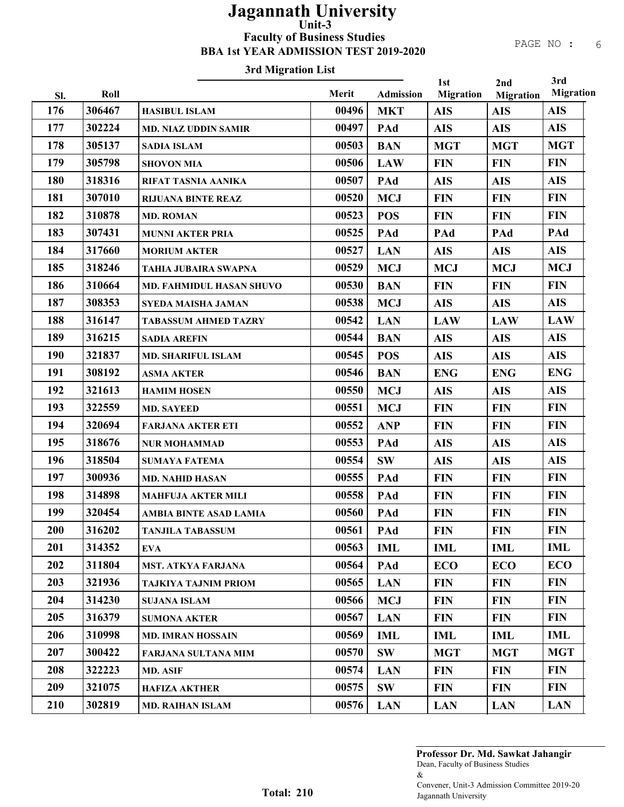#### 3rd Migration List

|     |        |                                 |       |                  | 1st              | 2nd              | 3rd              |
|-----|--------|---------------------------------|-------|------------------|------------------|------------------|------------------|
| Sl. | Roll   |                                 | Merit | <b>Admission</b> | <b>Migration</b> | <b>Migration</b> | <b>Migration</b> |
| 176 | 306467 | <b>HASIBUL ISLAM</b>            | 00496 | <b>MKT</b>       | <b>AIS</b>       | <b>AIS</b>       | <b>AIS</b>       |
| 177 | 302224 | <b>MD. NIAZ UDDIN SAMIR</b>     | 00497 | PAd              | <b>AIS</b>       | <b>AIS</b>       | <b>AIS</b>       |
| 178 | 305137 | <b>SADIA ISLAM</b>              | 00503 | <b>BAN</b>       | <b>MGT</b>       | <b>MGT</b>       | <b>MGT</b>       |
| 179 | 305798 | <b>SHOVON MIA</b>               | 00506 | <b>LAW</b>       | <b>FIN</b>       | <b>FIN</b>       | <b>FIN</b>       |
| 180 | 318316 | RIFAT TASNIA AANIKA             | 00507 | PAd              | <b>AIS</b>       | <b>AIS</b>       | <b>AIS</b>       |
| 181 | 307010 | <b>RIJUANA BINTE REAZ</b>       | 00520 | <b>MCJ</b>       | <b>FIN</b>       | <b>FIN</b>       | <b>FIN</b>       |
| 182 | 310878 | <b>MD. ROMAN</b>                | 00523 | <b>POS</b>       | <b>FIN</b>       | <b>FIN</b>       | <b>FIN</b>       |
| 183 | 307431 | <b>MUNNI AKTER PRIA</b>         | 00525 | PAd              | PAd              | PAd              | PAd              |
| 184 | 317660 | <b>MORIUM AKTER</b>             | 00527 | <b>LAN</b>       | <b>AIS</b>       | <b>AIS</b>       | <b>AIS</b>       |
| 185 | 318246 | TAHIA JUBAIRA SWAPNA            | 00529 | <b>MCJ</b>       | <b>MCJ</b>       | <b>MCJ</b>       | <b>MCJ</b>       |
| 186 | 310664 | <b>MD. FAHMIDUL HASAN SHUVO</b> | 00530 | <b>BAN</b>       | <b>FIN</b>       | <b>FIN</b>       | <b>FIN</b>       |
| 187 | 308353 | SYEDA MAISHA JAMAN              | 00538 | <b>MCJ</b>       | <b>AIS</b>       | <b>AIS</b>       | <b>AIS</b>       |
| 188 | 316147 | <b>TABASSUM AHMED TAZRY</b>     | 00542 | <b>LAN</b>       | <b>LAW</b>       | <b>LAW</b>       | <b>LAW</b>       |
| 189 | 316215 | <b>SADIA AREFIN</b>             | 00544 | <b>BAN</b>       | <b>AIS</b>       | <b>AIS</b>       | <b>AIS</b>       |
| 190 | 321837 | <b>MD. SHARIFUL ISLAM</b>       | 00545 | <b>POS</b>       | <b>AIS</b>       | <b>AIS</b>       | <b>AIS</b>       |
| 191 | 308192 | <b>ASMA AKTER</b>               | 00546 | <b>BAN</b>       | <b>ENG</b>       | <b>ENG</b>       | <b>ENG</b>       |
| 192 | 321613 | <b>HAMIM HOSEN</b>              | 00550 | <b>MCJ</b>       | <b>AIS</b>       | <b>AIS</b>       | <b>AIS</b>       |
| 193 | 322559 | <b>MD. SAYEED</b>               | 00551 | <b>MCJ</b>       | <b>FIN</b>       | <b>FIN</b>       | <b>FIN</b>       |
| 194 | 320694 | <b>FARJANA AKTER ETI</b>        | 00552 | <b>ANP</b>       | <b>FIN</b>       | <b>FIN</b>       | <b>FIN</b>       |
| 195 | 318676 | <b>NUR MOHAMMAD</b>             | 00553 | PAd              | <b>AIS</b>       | <b>AIS</b>       | <b>AIS</b>       |
| 196 | 318504 | <b>SUMAYA FATEMA</b>            | 00554 | <b>SW</b>        | <b>AIS</b>       | <b>AIS</b>       | <b>AIS</b>       |
| 197 | 300936 | <b>MD. NAHID HASAN</b>          | 00555 | PAd              | <b>FIN</b>       | <b>FIN</b>       | <b>FIN</b>       |
| 198 | 314898 | <b>MAHFUJA AKTER MILI</b>       | 00558 | PAd              | <b>FIN</b>       | <b>FIN</b>       | <b>FIN</b>       |
| 199 | 320454 | <b>AMBIA BINTE ASAD LAMIA</b>   | 00560 | PAd              | <b>FIN</b>       | <b>FIN</b>       | <b>FIN</b>       |
| 200 | 316202 | <b>TANJILA TABASSUM</b>         | 00561 | PAd              | <b>FIN</b>       | <b>FIN</b>       | <b>FIN</b>       |
| 201 | 314352 | <b>EVA</b>                      | 00563 | <b>IML</b>       | IML              | <b>IML</b>       | <b>IML</b>       |
| 202 | 311804 | <b>MST. ATKYA FARJANA</b>       | 00564 | PAd              | <b>ECO</b>       | <b>ECO</b>       | <b>ECO</b>       |
| 203 | 321936 | <b>TAJKIYA TAJNIM PRIOM</b>     | 00565 | <b>LAN</b>       | <b>FIN</b>       | <b>FIN</b>       | <b>FIN</b>       |
| 204 | 314230 | <b>SUJANA ISLAM</b>             | 00566 | <b>MCJ</b>       | <b>FIN</b>       | <b>FIN</b>       | <b>FIN</b>       |
| 205 | 316379 | <b>SUMONA AKTER</b>             | 00567 | <b>LAN</b>       | <b>FIN</b>       | <b>FIN</b>       | <b>FIN</b>       |
| 206 | 310998 | <b>MD. IMRAN HOSSAIN</b>        | 00569 | <b>IML</b>       | <b>IML</b>       | <b>IML</b>       | IML              |
| 207 | 300422 | FARJANA SULTANA MIM             | 00570 | <b>SW</b>        | <b>MGT</b>       | <b>MGT</b>       | <b>MGT</b>       |
| 208 | 322223 | <b>MD. ASIF</b>                 | 00574 | <b>LAN</b>       | <b>FIN</b>       | <b>FIN</b>       | <b>FIN</b>       |
| 209 | 321075 | <b>HAFIZA AKTHER</b>            | 00575 | SW               | <b>FIN</b>       | <b>FIN</b>       | <b>FIN</b>       |
| 210 | 302819 | <b>MD. RAIHAN ISLAM</b>         | 00576 | <b>LAN</b>       | <b>LAN</b>       | <b>LAN</b>       | <b>LAN</b>       |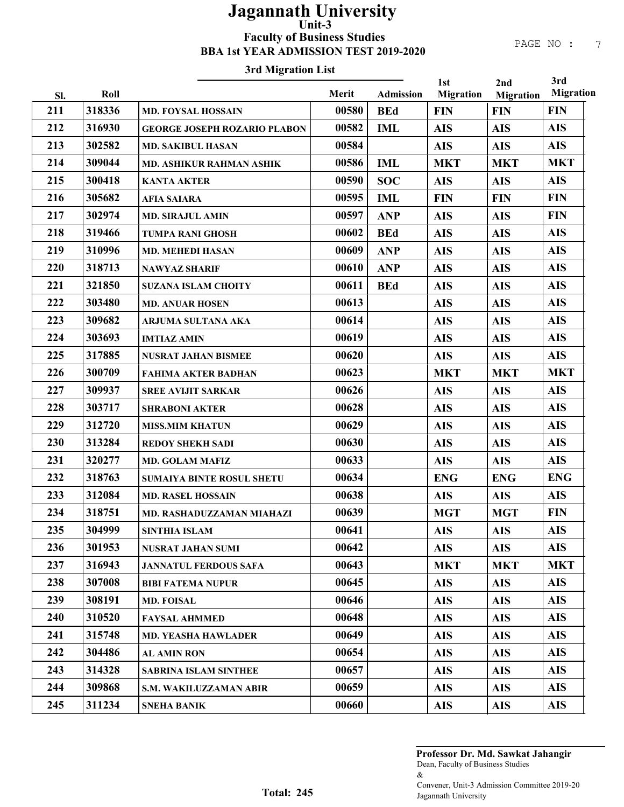#### 3rd Migration List

| PAGE NO |  |
|---------|--|
|---------|--|

| 211<br>318336<br><b>FIN</b><br>00580<br><b>BEd</b><br><b>FIN</b><br><b>FIN</b><br><b>MD. FOYSAL HOSSAIN</b><br>212<br><b>AIS</b><br>316930<br>00582<br><b>AIS</b><br><b>AIS</b><br><b>IML</b><br><b>GEORGE JOSEPH ROZARIO PLABON</b><br>213<br>00584<br><b>AIS</b><br>302582<br><b>AIS</b><br><b>AIS</b><br><b>MD. SAKIBUL HASAN</b><br>214<br>309044<br>00586<br><b>MKT</b><br><b>IML</b><br><b>MKT</b><br><b>MKT</b><br><b>MD. ASHIKUR RAHMAN ASHIK</b><br>215<br>300418<br><b>AIS</b><br>00590<br><b>SOC</b><br><b>AIS</b><br><b>AIS</b><br><b>KANTA AKTER</b><br>216<br><b>FIN</b><br>305682<br>00595<br><b>IML</b><br><b>FIN</b><br><b>FIN</b><br><b>AFIA SAIARA</b><br>217<br>00597<br><b>FIN</b><br>302974<br><b>ANP</b><br><b>AIS</b><br><b>AIS</b><br><b>MD. SIRAJUL AMIN</b><br>218<br><b>AIS</b><br>00602<br>319466<br><b>BEd</b><br><b>AIS</b><br><b>AIS</b><br><b>TUMPA RANI GHOSH</b><br>219<br><b>AIS</b><br>310996<br>00609<br><b>AIS</b><br><b>ANP</b><br><b>AIS</b><br><b>MD. MEHEDI HASAN</b><br>220<br><b>AIS</b><br>318713<br>00610<br><b>ANP</b><br><b>AIS</b><br><b>AIS</b><br><b>NAWYAZ SHARIF</b><br>221<br><b>AIS</b><br>321850<br>00611<br><b>AIS</b><br><b>AIS</b><br><b>BEd</b><br><b>SUZANA ISLAM CHOITY</b><br>222<br><b>AIS</b><br>00613<br>303480<br><b>AIS</b><br><b>AIS</b><br><b>MD. ANUAR HOSEN</b><br>223<br><b>AIS</b><br>00614<br>309682<br><b>AIS</b><br><b>AIS</b><br>ARJUMA SULTANA AKA<br>224<br>00619<br><b>AIS</b><br>303693<br><b>AIS</b><br><b>AIS</b><br><b>IMTIAZ AMIN</b><br>225<br><b>AIS</b><br>317885<br>00620<br><b>AIS</b><br><b>AIS</b><br>NUSRAT JAHAN BISMEE<br>226<br>300709<br>00623<br><b>MKT</b><br><b>MKT</b><br><b>MKT</b><br><b>FAHIMA AKTER BADHAN</b><br>227<br>00626<br><b>AIS</b><br>309937<br><b>AIS</b><br><b>AIS</b><br><b>SREE AVIJIT SARKAR</b><br>228<br><b>AIS</b><br>303717<br>00628<br><b>AIS</b><br><b>AIS</b><br><b>SHRABONI AKTER</b><br>229<br>00629<br><b>AIS</b><br>312720<br><b>AIS</b><br><b>AIS</b><br><b>MISS.MIM KHATUN</b><br>230<br><b>AIS</b><br>313284<br>00630<br><b>AIS</b><br><b>AIS</b><br><b>REDOY SHEKH SADI</b><br>231<br>00633<br><b>AIS</b><br>320277<br><b>AIS</b><br><b>AIS</b><br><b>MD. GOLAM MAFIZ</b><br>232<br>00634<br><b>ENG</b><br><b>ENG</b><br>318763<br><b>ENG</b><br>SUMAIYA BINTE ROSUL SHETU<br>233<br>00638<br><b>AIS</b><br>312084<br><b>AIS</b><br><b>AIS</b><br><b>MD. RASEL HOSSAIN</b><br>234<br>318751<br>00639<br><b>FIN</b><br><b>MGT</b><br><b>MGT</b><br>MD. RASHADUZZAMAN MIAHAZI<br>235<br>304999<br><b>AIS</b><br>00641<br><b>AIS</b><br><b>AIS</b><br>SINTHIA ISLAM<br><b>AIS</b><br>236<br>301953<br>00642<br><b>AIS</b><br><b>AIS</b><br><b>NUSRAT JAHAN SUMI</b><br>237<br>00643<br>316943<br><b>MKT</b><br><b>MKT</b><br><b>MKT</b><br><b>JANNATUL FERDOUS SAFA</b><br>238<br>307008<br>00645<br><b>AIS</b><br><b>AIS</b><br><b>AIS</b><br><b>BIBI FATEMA NUPUR</b><br>239<br>308191<br>00646<br><b>AIS</b><br><b>AIS</b><br><b>AIS</b><br><b>MD. FOISAL</b><br>240<br>00648<br><b>AIS</b><br>310520<br><b>AIS</b><br><b>AIS</b><br><b>FAYSAL AHMMED</b><br>241<br>00649<br>315748<br><b>AIS</b><br><b>AIS</b><br><b>AIS</b><br><b>MD. YEASHA HAWLADER</b><br>242<br>304486<br>00654<br><b>AIS</b><br><b>AIS</b><br><b>AIS</b><br><b>AL AMIN RON</b><br>243<br>314328<br>00657<br><b>AIS</b><br><b>AIS</b><br><b>AIS</b><br><b>SABRINA ISLAM SINTHEE</b><br>244<br>00659<br><b>AIS</b><br>309868<br><b>AIS</b><br><b>AIS</b><br>S.M. WAKILUZZAMAN ABIR<br>245<br>311234<br>00660<br><b>AIS</b><br><b>AIS</b><br><b>AIS</b><br><b>SNEHA BANIK</b> | SI. | Roll | Merit | Admission | 1st<br><b>Migration</b> | 2nd<br><b>Migration</b> | 3rd<br><b>Migration</b> |
|--------------------------------------------------------------------------------------------------------------------------------------------------------------------------------------------------------------------------------------------------------------------------------------------------------------------------------------------------------------------------------------------------------------------------------------------------------------------------------------------------------------------------------------------------------------------------------------------------------------------------------------------------------------------------------------------------------------------------------------------------------------------------------------------------------------------------------------------------------------------------------------------------------------------------------------------------------------------------------------------------------------------------------------------------------------------------------------------------------------------------------------------------------------------------------------------------------------------------------------------------------------------------------------------------------------------------------------------------------------------------------------------------------------------------------------------------------------------------------------------------------------------------------------------------------------------------------------------------------------------------------------------------------------------------------------------------------------------------------------------------------------------------------------------------------------------------------------------------------------------------------------------------------------------------------------------------------------------------------------------------------------------------------------------------------------------------------------------------------------------------------------------------------------------------------------------------------------------------------------------------------------------------------------------------------------------------------------------------------------------------------------------------------------------------------------------------------------------------------------------------------------------------------------------------------------------------------------------------------------------------------------------------------------------------------------------------------------------------------------------------------------------------------------------------------------------------------------------------------------------------------------------------------------------------------------------------------------------------------------------------------------------------------------------------------------------------------------------------------------------------------------------------------------------------------------------------------------------------------------------------------------------------------------------------------------------------------------------------------------------------------------------------------------------------------------------------------------------------------------------------------------------------------------------------------------------------------------------|-----|------|-------|-----------|-------------------------|-------------------------|-------------------------|
|                                                                                                                                                                                                                                                                                                                                                                                                                                                                                                                                                                                                                                                                                                                                                                                                                                                                                                                                                                                                                                                                                                                                                                                                                                                                                                                                                                                                                                                                                                                                                                                                                                                                                                                                                                                                                                                                                                                                                                                                                                                                                                                                                                                                                                                                                                                                                                                                                                                                                                                                                                                                                                                                                                                                                                                                                                                                                                                                                                                                                                                                                                                                                                                                                                                                                                                                                                                                                                                                                                                                                                                            |     |      |       |           |                         |                         |                         |
|                                                                                                                                                                                                                                                                                                                                                                                                                                                                                                                                                                                                                                                                                                                                                                                                                                                                                                                                                                                                                                                                                                                                                                                                                                                                                                                                                                                                                                                                                                                                                                                                                                                                                                                                                                                                                                                                                                                                                                                                                                                                                                                                                                                                                                                                                                                                                                                                                                                                                                                                                                                                                                                                                                                                                                                                                                                                                                                                                                                                                                                                                                                                                                                                                                                                                                                                                                                                                                                                                                                                                                                            |     |      |       |           |                         |                         |                         |
|                                                                                                                                                                                                                                                                                                                                                                                                                                                                                                                                                                                                                                                                                                                                                                                                                                                                                                                                                                                                                                                                                                                                                                                                                                                                                                                                                                                                                                                                                                                                                                                                                                                                                                                                                                                                                                                                                                                                                                                                                                                                                                                                                                                                                                                                                                                                                                                                                                                                                                                                                                                                                                                                                                                                                                                                                                                                                                                                                                                                                                                                                                                                                                                                                                                                                                                                                                                                                                                                                                                                                                                            |     |      |       |           |                         |                         |                         |
|                                                                                                                                                                                                                                                                                                                                                                                                                                                                                                                                                                                                                                                                                                                                                                                                                                                                                                                                                                                                                                                                                                                                                                                                                                                                                                                                                                                                                                                                                                                                                                                                                                                                                                                                                                                                                                                                                                                                                                                                                                                                                                                                                                                                                                                                                                                                                                                                                                                                                                                                                                                                                                                                                                                                                                                                                                                                                                                                                                                                                                                                                                                                                                                                                                                                                                                                                                                                                                                                                                                                                                                            |     |      |       |           |                         |                         |                         |
|                                                                                                                                                                                                                                                                                                                                                                                                                                                                                                                                                                                                                                                                                                                                                                                                                                                                                                                                                                                                                                                                                                                                                                                                                                                                                                                                                                                                                                                                                                                                                                                                                                                                                                                                                                                                                                                                                                                                                                                                                                                                                                                                                                                                                                                                                                                                                                                                                                                                                                                                                                                                                                                                                                                                                                                                                                                                                                                                                                                                                                                                                                                                                                                                                                                                                                                                                                                                                                                                                                                                                                                            |     |      |       |           |                         |                         |                         |
|                                                                                                                                                                                                                                                                                                                                                                                                                                                                                                                                                                                                                                                                                                                                                                                                                                                                                                                                                                                                                                                                                                                                                                                                                                                                                                                                                                                                                                                                                                                                                                                                                                                                                                                                                                                                                                                                                                                                                                                                                                                                                                                                                                                                                                                                                                                                                                                                                                                                                                                                                                                                                                                                                                                                                                                                                                                                                                                                                                                                                                                                                                                                                                                                                                                                                                                                                                                                                                                                                                                                                                                            |     |      |       |           |                         |                         |                         |
|                                                                                                                                                                                                                                                                                                                                                                                                                                                                                                                                                                                                                                                                                                                                                                                                                                                                                                                                                                                                                                                                                                                                                                                                                                                                                                                                                                                                                                                                                                                                                                                                                                                                                                                                                                                                                                                                                                                                                                                                                                                                                                                                                                                                                                                                                                                                                                                                                                                                                                                                                                                                                                                                                                                                                                                                                                                                                                                                                                                                                                                                                                                                                                                                                                                                                                                                                                                                                                                                                                                                                                                            |     |      |       |           |                         |                         |                         |
|                                                                                                                                                                                                                                                                                                                                                                                                                                                                                                                                                                                                                                                                                                                                                                                                                                                                                                                                                                                                                                                                                                                                                                                                                                                                                                                                                                                                                                                                                                                                                                                                                                                                                                                                                                                                                                                                                                                                                                                                                                                                                                                                                                                                                                                                                                                                                                                                                                                                                                                                                                                                                                                                                                                                                                                                                                                                                                                                                                                                                                                                                                                                                                                                                                                                                                                                                                                                                                                                                                                                                                                            |     |      |       |           |                         |                         |                         |
|                                                                                                                                                                                                                                                                                                                                                                                                                                                                                                                                                                                                                                                                                                                                                                                                                                                                                                                                                                                                                                                                                                                                                                                                                                                                                                                                                                                                                                                                                                                                                                                                                                                                                                                                                                                                                                                                                                                                                                                                                                                                                                                                                                                                                                                                                                                                                                                                                                                                                                                                                                                                                                                                                                                                                                                                                                                                                                                                                                                                                                                                                                                                                                                                                                                                                                                                                                                                                                                                                                                                                                                            |     |      |       |           |                         |                         |                         |
|                                                                                                                                                                                                                                                                                                                                                                                                                                                                                                                                                                                                                                                                                                                                                                                                                                                                                                                                                                                                                                                                                                                                                                                                                                                                                                                                                                                                                                                                                                                                                                                                                                                                                                                                                                                                                                                                                                                                                                                                                                                                                                                                                                                                                                                                                                                                                                                                                                                                                                                                                                                                                                                                                                                                                                                                                                                                                                                                                                                                                                                                                                                                                                                                                                                                                                                                                                                                                                                                                                                                                                                            |     |      |       |           |                         |                         |                         |
|                                                                                                                                                                                                                                                                                                                                                                                                                                                                                                                                                                                                                                                                                                                                                                                                                                                                                                                                                                                                                                                                                                                                                                                                                                                                                                                                                                                                                                                                                                                                                                                                                                                                                                                                                                                                                                                                                                                                                                                                                                                                                                                                                                                                                                                                                                                                                                                                                                                                                                                                                                                                                                                                                                                                                                                                                                                                                                                                                                                                                                                                                                                                                                                                                                                                                                                                                                                                                                                                                                                                                                                            |     |      |       |           |                         |                         |                         |
|                                                                                                                                                                                                                                                                                                                                                                                                                                                                                                                                                                                                                                                                                                                                                                                                                                                                                                                                                                                                                                                                                                                                                                                                                                                                                                                                                                                                                                                                                                                                                                                                                                                                                                                                                                                                                                                                                                                                                                                                                                                                                                                                                                                                                                                                                                                                                                                                                                                                                                                                                                                                                                                                                                                                                                                                                                                                                                                                                                                                                                                                                                                                                                                                                                                                                                                                                                                                                                                                                                                                                                                            |     |      |       |           |                         |                         |                         |
|                                                                                                                                                                                                                                                                                                                                                                                                                                                                                                                                                                                                                                                                                                                                                                                                                                                                                                                                                                                                                                                                                                                                                                                                                                                                                                                                                                                                                                                                                                                                                                                                                                                                                                                                                                                                                                                                                                                                                                                                                                                                                                                                                                                                                                                                                                                                                                                                                                                                                                                                                                                                                                                                                                                                                                                                                                                                                                                                                                                                                                                                                                                                                                                                                                                                                                                                                                                                                                                                                                                                                                                            |     |      |       |           |                         |                         |                         |
|                                                                                                                                                                                                                                                                                                                                                                                                                                                                                                                                                                                                                                                                                                                                                                                                                                                                                                                                                                                                                                                                                                                                                                                                                                                                                                                                                                                                                                                                                                                                                                                                                                                                                                                                                                                                                                                                                                                                                                                                                                                                                                                                                                                                                                                                                                                                                                                                                                                                                                                                                                                                                                                                                                                                                                                                                                                                                                                                                                                                                                                                                                                                                                                                                                                                                                                                                                                                                                                                                                                                                                                            |     |      |       |           |                         |                         |                         |
|                                                                                                                                                                                                                                                                                                                                                                                                                                                                                                                                                                                                                                                                                                                                                                                                                                                                                                                                                                                                                                                                                                                                                                                                                                                                                                                                                                                                                                                                                                                                                                                                                                                                                                                                                                                                                                                                                                                                                                                                                                                                                                                                                                                                                                                                                                                                                                                                                                                                                                                                                                                                                                                                                                                                                                                                                                                                                                                                                                                                                                                                                                                                                                                                                                                                                                                                                                                                                                                                                                                                                                                            |     |      |       |           |                         |                         |                         |
|                                                                                                                                                                                                                                                                                                                                                                                                                                                                                                                                                                                                                                                                                                                                                                                                                                                                                                                                                                                                                                                                                                                                                                                                                                                                                                                                                                                                                                                                                                                                                                                                                                                                                                                                                                                                                                                                                                                                                                                                                                                                                                                                                                                                                                                                                                                                                                                                                                                                                                                                                                                                                                                                                                                                                                                                                                                                                                                                                                                                                                                                                                                                                                                                                                                                                                                                                                                                                                                                                                                                                                                            |     |      |       |           |                         |                         |                         |
|                                                                                                                                                                                                                                                                                                                                                                                                                                                                                                                                                                                                                                                                                                                                                                                                                                                                                                                                                                                                                                                                                                                                                                                                                                                                                                                                                                                                                                                                                                                                                                                                                                                                                                                                                                                                                                                                                                                                                                                                                                                                                                                                                                                                                                                                                                                                                                                                                                                                                                                                                                                                                                                                                                                                                                                                                                                                                                                                                                                                                                                                                                                                                                                                                                                                                                                                                                                                                                                                                                                                                                                            |     |      |       |           |                         |                         |                         |
|                                                                                                                                                                                                                                                                                                                                                                                                                                                                                                                                                                                                                                                                                                                                                                                                                                                                                                                                                                                                                                                                                                                                                                                                                                                                                                                                                                                                                                                                                                                                                                                                                                                                                                                                                                                                                                                                                                                                                                                                                                                                                                                                                                                                                                                                                                                                                                                                                                                                                                                                                                                                                                                                                                                                                                                                                                                                                                                                                                                                                                                                                                                                                                                                                                                                                                                                                                                                                                                                                                                                                                                            |     |      |       |           |                         |                         |                         |
|                                                                                                                                                                                                                                                                                                                                                                                                                                                                                                                                                                                                                                                                                                                                                                                                                                                                                                                                                                                                                                                                                                                                                                                                                                                                                                                                                                                                                                                                                                                                                                                                                                                                                                                                                                                                                                                                                                                                                                                                                                                                                                                                                                                                                                                                                                                                                                                                                                                                                                                                                                                                                                                                                                                                                                                                                                                                                                                                                                                                                                                                                                                                                                                                                                                                                                                                                                                                                                                                                                                                                                                            |     |      |       |           |                         |                         |                         |
|                                                                                                                                                                                                                                                                                                                                                                                                                                                                                                                                                                                                                                                                                                                                                                                                                                                                                                                                                                                                                                                                                                                                                                                                                                                                                                                                                                                                                                                                                                                                                                                                                                                                                                                                                                                                                                                                                                                                                                                                                                                                                                                                                                                                                                                                                                                                                                                                                                                                                                                                                                                                                                                                                                                                                                                                                                                                                                                                                                                                                                                                                                                                                                                                                                                                                                                                                                                                                                                                                                                                                                                            |     |      |       |           |                         |                         |                         |
|                                                                                                                                                                                                                                                                                                                                                                                                                                                                                                                                                                                                                                                                                                                                                                                                                                                                                                                                                                                                                                                                                                                                                                                                                                                                                                                                                                                                                                                                                                                                                                                                                                                                                                                                                                                                                                                                                                                                                                                                                                                                                                                                                                                                                                                                                                                                                                                                                                                                                                                                                                                                                                                                                                                                                                                                                                                                                                                                                                                                                                                                                                                                                                                                                                                                                                                                                                                                                                                                                                                                                                                            |     |      |       |           |                         |                         |                         |
|                                                                                                                                                                                                                                                                                                                                                                                                                                                                                                                                                                                                                                                                                                                                                                                                                                                                                                                                                                                                                                                                                                                                                                                                                                                                                                                                                                                                                                                                                                                                                                                                                                                                                                                                                                                                                                                                                                                                                                                                                                                                                                                                                                                                                                                                                                                                                                                                                                                                                                                                                                                                                                                                                                                                                                                                                                                                                                                                                                                                                                                                                                                                                                                                                                                                                                                                                                                                                                                                                                                                                                                            |     |      |       |           |                         |                         |                         |
|                                                                                                                                                                                                                                                                                                                                                                                                                                                                                                                                                                                                                                                                                                                                                                                                                                                                                                                                                                                                                                                                                                                                                                                                                                                                                                                                                                                                                                                                                                                                                                                                                                                                                                                                                                                                                                                                                                                                                                                                                                                                                                                                                                                                                                                                                                                                                                                                                                                                                                                                                                                                                                                                                                                                                                                                                                                                                                                                                                                                                                                                                                                                                                                                                                                                                                                                                                                                                                                                                                                                                                                            |     |      |       |           |                         |                         |                         |
|                                                                                                                                                                                                                                                                                                                                                                                                                                                                                                                                                                                                                                                                                                                                                                                                                                                                                                                                                                                                                                                                                                                                                                                                                                                                                                                                                                                                                                                                                                                                                                                                                                                                                                                                                                                                                                                                                                                                                                                                                                                                                                                                                                                                                                                                                                                                                                                                                                                                                                                                                                                                                                                                                                                                                                                                                                                                                                                                                                                                                                                                                                                                                                                                                                                                                                                                                                                                                                                                                                                                                                                            |     |      |       |           |                         |                         |                         |
|                                                                                                                                                                                                                                                                                                                                                                                                                                                                                                                                                                                                                                                                                                                                                                                                                                                                                                                                                                                                                                                                                                                                                                                                                                                                                                                                                                                                                                                                                                                                                                                                                                                                                                                                                                                                                                                                                                                                                                                                                                                                                                                                                                                                                                                                                                                                                                                                                                                                                                                                                                                                                                                                                                                                                                                                                                                                                                                                                                                                                                                                                                                                                                                                                                                                                                                                                                                                                                                                                                                                                                                            |     |      |       |           |                         |                         |                         |
|                                                                                                                                                                                                                                                                                                                                                                                                                                                                                                                                                                                                                                                                                                                                                                                                                                                                                                                                                                                                                                                                                                                                                                                                                                                                                                                                                                                                                                                                                                                                                                                                                                                                                                                                                                                                                                                                                                                                                                                                                                                                                                                                                                                                                                                                                                                                                                                                                                                                                                                                                                                                                                                                                                                                                                                                                                                                                                                                                                                                                                                                                                                                                                                                                                                                                                                                                                                                                                                                                                                                                                                            |     |      |       |           |                         |                         |                         |
|                                                                                                                                                                                                                                                                                                                                                                                                                                                                                                                                                                                                                                                                                                                                                                                                                                                                                                                                                                                                                                                                                                                                                                                                                                                                                                                                                                                                                                                                                                                                                                                                                                                                                                                                                                                                                                                                                                                                                                                                                                                                                                                                                                                                                                                                                                                                                                                                                                                                                                                                                                                                                                                                                                                                                                                                                                                                                                                                                                                                                                                                                                                                                                                                                                                                                                                                                                                                                                                                                                                                                                                            |     |      |       |           |                         |                         |                         |
|                                                                                                                                                                                                                                                                                                                                                                                                                                                                                                                                                                                                                                                                                                                                                                                                                                                                                                                                                                                                                                                                                                                                                                                                                                                                                                                                                                                                                                                                                                                                                                                                                                                                                                                                                                                                                                                                                                                                                                                                                                                                                                                                                                                                                                                                                                                                                                                                                                                                                                                                                                                                                                                                                                                                                                                                                                                                                                                                                                                                                                                                                                                                                                                                                                                                                                                                                                                                                                                                                                                                                                                            |     |      |       |           |                         |                         |                         |
|                                                                                                                                                                                                                                                                                                                                                                                                                                                                                                                                                                                                                                                                                                                                                                                                                                                                                                                                                                                                                                                                                                                                                                                                                                                                                                                                                                                                                                                                                                                                                                                                                                                                                                                                                                                                                                                                                                                                                                                                                                                                                                                                                                                                                                                                                                                                                                                                                                                                                                                                                                                                                                                                                                                                                                                                                                                                                                                                                                                                                                                                                                                                                                                                                                                                                                                                                                                                                                                                                                                                                                                            |     |      |       |           |                         |                         |                         |
|                                                                                                                                                                                                                                                                                                                                                                                                                                                                                                                                                                                                                                                                                                                                                                                                                                                                                                                                                                                                                                                                                                                                                                                                                                                                                                                                                                                                                                                                                                                                                                                                                                                                                                                                                                                                                                                                                                                                                                                                                                                                                                                                                                                                                                                                                                                                                                                                                                                                                                                                                                                                                                                                                                                                                                                                                                                                                                                                                                                                                                                                                                                                                                                                                                                                                                                                                                                                                                                                                                                                                                                            |     |      |       |           |                         |                         |                         |
|                                                                                                                                                                                                                                                                                                                                                                                                                                                                                                                                                                                                                                                                                                                                                                                                                                                                                                                                                                                                                                                                                                                                                                                                                                                                                                                                                                                                                                                                                                                                                                                                                                                                                                                                                                                                                                                                                                                                                                                                                                                                                                                                                                                                                                                                                                                                                                                                                                                                                                                                                                                                                                                                                                                                                                                                                                                                                                                                                                                                                                                                                                                                                                                                                                                                                                                                                                                                                                                                                                                                                                                            |     |      |       |           |                         |                         |                         |
|                                                                                                                                                                                                                                                                                                                                                                                                                                                                                                                                                                                                                                                                                                                                                                                                                                                                                                                                                                                                                                                                                                                                                                                                                                                                                                                                                                                                                                                                                                                                                                                                                                                                                                                                                                                                                                                                                                                                                                                                                                                                                                                                                                                                                                                                                                                                                                                                                                                                                                                                                                                                                                                                                                                                                                                                                                                                                                                                                                                                                                                                                                                                                                                                                                                                                                                                                                                                                                                                                                                                                                                            |     |      |       |           |                         |                         |                         |
|                                                                                                                                                                                                                                                                                                                                                                                                                                                                                                                                                                                                                                                                                                                                                                                                                                                                                                                                                                                                                                                                                                                                                                                                                                                                                                                                                                                                                                                                                                                                                                                                                                                                                                                                                                                                                                                                                                                                                                                                                                                                                                                                                                                                                                                                                                                                                                                                                                                                                                                                                                                                                                                                                                                                                                                                                                                                                                                                                                                                                                                                                                                                                                                                                                                                                                                                                                                                                                                                                                                                                                                            |     |      |       |           |                         |                         |                         |
|                                                                                                                                                                                                                                                                                                                                                                                                                                                                                                                                                                                                                                                                                                                                                                                                                                                                                                                                                                                                                                                                                                                                                                                                                                                                                                                                                                                                                                                                                                                                                                                                                                                                                                                                                                                                                                                                                                                                                                                                                                                                                                                                                                                                                                                                                                                                                                                                                                                                                                                                                                                                                                                                                                                                                                                                                                                                                                                                                                                                                                                                                                                                                                                                                                                                                                                                                                                                                                                                                                                                                                                            |     |      |       |           |                         |                         |                         |
|                                                                                                                                                                                                                                                                                                                                                                                                                                                                                                                                                                                                                                                                                                                                                                                                                                                                                                                                                                                                                                                                                                                                                                                                                                                                                                                                                                                                                                                                                                                                                                                                                                                                                                                                                                                                                                                                                                                                                                                                                                                                                                                                                                                                                                                                                                                                                                                                                                                                                                                                                                                                                                                                                                                                                                                                                                                                                                                                                                                                                                                                                                                                                                                                                                                                                                                                                                                                                                                                                                                                                                                            |     |      |       |           |                         |                         |                         |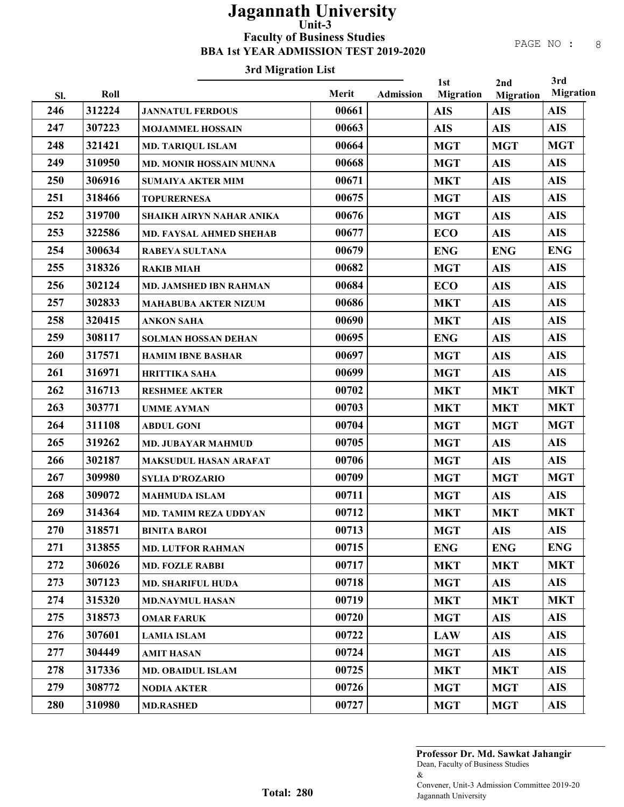### 3rd Migration List

| Sl. | Roll   | n a migi auon mat              | Merit | <b>Admission</b> | 1st<br><b>Migration</b> | 2nd<br><b>Migration</b> | 3rd<br><b>Migration</b> |
|-----|--------|--------------------------------|-------|------------------|-------------------------|-------------------------|-------------------------|
| 246 | 312224 | <b>JANNATUL FERDOUS</b>        | 00661 |                  | <b>AIS</b>              | <b>AIS</b>              | <b>AIS</b>              |
| 247 | 307223 | <b>MOJAMMEL HOSSAIN</b>        | 00663 |                  | <b>AIS</b>              | <b>AIS</b>              | <b>AIS</b>              |
| 248 | 321421 | <b>MD. TARIQUL ISLAM</b>       | 00664 |                  | <b>MGT</b>              | <b>MGT</b>              | <b>MGT</b>              |
| 249 | 310950 | <b>MD. MONIR HOSSAIN MUNNA</b> | 00668 |                  | <b>MGT</b>              | <b>AIS</b>              | <b>AIS</b>              |
| 250 | 306916 | <b>SUMAIYA AKTER MIM</b>       | 00671 |                  | <b>MKT</b>              | <b>AIS</b>              | <b>AIS</b>              |
| 251 | 318466 | <b>TOPURERNESA</b>             | 00675 |                  | <b>MGT</b>              | <b>AIS</b>              | <b>AIS</b>              |
| 252 | 319700 | SHAIKH AIRYN NAHAR ANIKA       | 00676 |                  | <b>MGT</b>              | <b>AIS</b>              | <b>AIS</b>              |
| 253 | 322586 | <b>MD. FAYSAL AHMED SHEHAB</b> | 00677 |                  | <b>ECO</b>              | <b>AIS</b>              | <b>AIS</b>              |
| 254 | 300634 | <b>RABEYA SULTANA</b>          | 00679 |                  | <b>ENG</b>              | <b>ENG</b>              | <b>ENG</b>              |
| 255 | 318326 | <b>RAKIB MIAH</b>              | 00682 |                  | <b>MGT</b>              | <b>AIS</b>              | <b>AIS</b>              |
| 256 | 302124 | MD. JAMSHED IBN RAHMAN         | 00684 |                  | <b>ECO</b>              | <b>AIS</b>              | <b>AIS</b>              |
| 257 | 302833 | <b>MAHABUBA AKTER NIZUM</b>    | 00686 |                  | <b>MKT</b>              | <b>AIS</b>              | <b>AIS</b>              |
| 258 | 320415 | <b>ANKON SAHA</b>              | 00690 |                  | <b>MKT</b>              | <b>AIS</b>              | <b>AIS</b>              |
| 259 | 308117 | <b>SOLMAN HOSSAN DEHAN</b>     | 00695 |                  | <b>ENG</b>              | <b>AIS</b>              | <b>AIS</b>              |
| 260 | 317571 | <b>HAMIM IBNE BASHAR</b>       | 00697 |                  | <b>MGT</b>              | <b>AIS</b>              | <b>AIS</b>              |
| 261 | 316971 | <b>HRITTIKA SAHA</b>           | 00699 |                  | <b>MGT</b>              | <b>AIS</b>              | <b>AIS</b>              |
| 262 | 316713 | <b>RESHMEE AKTER</b>           | 00702 |                  | <b>MKT</b>              | <b>MKT</b>              | <b>MKT</b>              |
| 263 | 303771 | <b>UMME AYMAN</b>              | 00703 |                  | <b>MKT</b>              | <b>MKT</b>              | <b>MKT</b>              |
| 264 | 311108 | <b>ABDUL GONI</b>              | 00704 |                  | <b>MGT</b>              | <b>MGT</b>              | <b>MGT</b>              |
| 265 | 319262 | <b>MD. JUBAYAR MAHMUD</b>      | 00705 |                  | <b>MGT</b>              | <b>AIS</b>              | <b>AIS</b>              |
| 266 | 302187 | MAKSUDUL HASAN ARAFAT          | 00706 |                  | <b>MGT</b>              | <b>AIS</b>              | <b>AIS</b>              |
| 267 | 309980 | <b>SYLIA D'ROZARIO</b>         | 00709 |                  | <b>MGT</b>              | <b>MGT</b>              | <b>MGT</b>              |
| 268 | 309072 | <b>MAHMUDA ISLAM</b>           | 00711 |                  | <b>MGT</b>              | <b>AIS</b>              | <b>AIS</b>              |
| 269 | 314364 | <b>MD. TAMIM REZA UDDYAN</b>   | 00712 |                  | <b>MKT</b>              | <b>MKT</b>              | <b>MKT</b>              |
| 270 | 318571 | <b>BINITA BAROI</b>            | 00713 |                  | <b>MGT</b>              | <b>AIS</b>              | <b>AIS</b>              |
| 271 | 313855 | <b>MD. LUTFOR RAHMAN</b>       | 00715 |                  | <b>ENG</b>              | <b>ENG</b>              | <b>ENG</b>              |
| 272 | 306026 | <b>MD. FOZLE RABBI</b>         | 00717 |                  | <b>MKT</b>              | <b>MKT</b>              | <b>MKT</b>              |
| 273 | 307123 | <b>MD. SHARIFUL HUDA</b>       | 00718 |                  | <b>MGT</b>              | <b>AIS</b>              | <b>AIS</b>              |
| 274 | 315320 | <b>MD.NAYMUL HASAN</b>         | 00719 |                  | <b>MKT</b>              | <b>MKT</b>              | <b>MKT</b>              |
| 275 | 318573 | <b>OMAR FARUK</b>              | 00720 |                  | <b>MGT</b>              | <b>AIS</b>              | <b>AIS</b>              |
| 276 | 307601 | <b>LAMIA ISLAM</b>             | 00722 |                  | <b>LAW</b>              | <b>AIS</b>              | <b>AIS</b>              |
| 277 | 304449 | <b>AMIT HASAN</b>              | 00724 |                  | <b>MGT</b>              | <b>AIS</b>              | <b>AIS</b>              |
| 278 | 317336 | <b>MD. OBAIDUL ISLAM</b>       | 00725 |                  | <b>MKT</b>              | <b>MKT</b>              | <b>AIS</b>              |
| 279 | 308772 | <b>NODIA AKTER</b>             | 00726 |                  | <b>MGT</b>              | <b>MGT</b>              | <b>AIS</b>              |
| 280 | 310980 | <b>MD.RASHED</b>               | 00727 |                  | <b>MGT</b>              | <b>MGT</b>              | <b>AIS</b>              |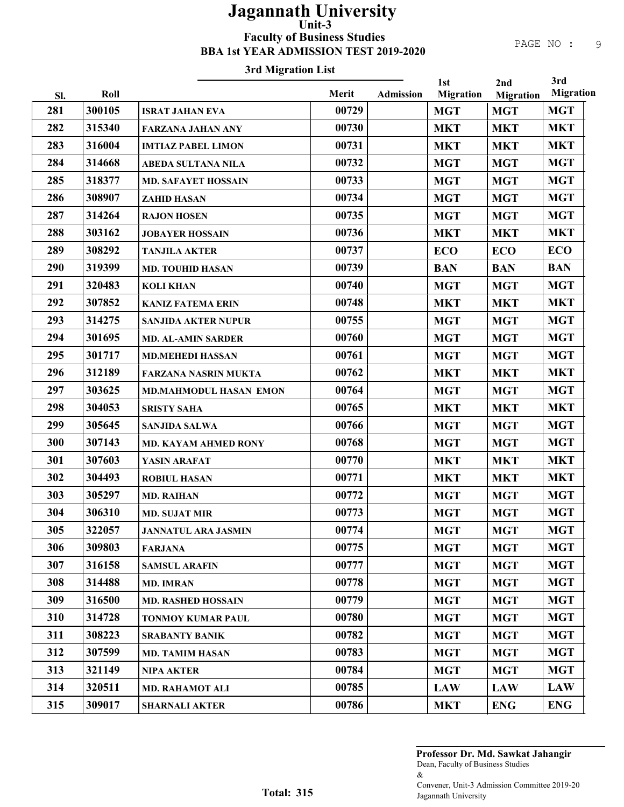## 3rd Migration List

|     |        |                               |       |                  | 1st              | 2nd              | 3rd              |
|-----|--------|-------------------------------|-------|------------------|------------------|------------------|------------------|
| Sl. | Roll   |                               | Merit | <b>Admission</b> | <b>Migration</b> | <b>Migration</b> | <b>Migration</b> |
| 281 | 300105 | <b>ISRAT JAHAN EVA</b>        | 00729 |                  | <b>MGT</b>       | <b>MGT</b>       | <b>MGT</b>       |
| 282 | 315340 | <b>FARZANA JAHAN ANY</b>      | 00730 |                  | <b>MKT</b>       | <b>MKT</b>       | <b>MKT</b>       |
| 283 | 316004 | <b>IMTIAZ PABEL LIMON</b>     | 00731 |                  | <b>MKT</b>       | <b>MKT</b>       | <b>MKT</b>       |
| 284 | 314668 | <b>ABEDA SULTANA NILA</b>     | 00732 |                  | <b>MGT</b>       | <b>MGT</b>       | <b>MGT</b>       |
| 285 | 318377 | <b>MD. SAFAYET HOSSAIN</b>    | 00733 |                  | <b>MGT</b>       | <b>MGT</b>       | <b>MGT</b>       |
| 286 | 308907 | <b>ZAHID HASAN</b>            | 00734 |                  | <b>MGT</b>       | <b>MGT</b>       | <b>MGT</b>       |
| 287 | 314264 | <b>RAJON HOSEN</b>            | 00735 |                  | <b>MGT</b>       | <b>MGT</b>       | <b>MGT</b>       |
| 288 | 303162 | <b>JOBAYER HOSSAIN</b>        | 00736 |                  | <b>MKT</b>       | <b>MKT</b>       | <b>MKT</b>       |
| 289 | 308292 | <b>TANJILA AKTER</b>          | 00737 |                  | <b>ECO</b>       | <b>ECO</b>       | <b>ECO</b>       |
| 290 | 319399 | <b>MD. TOUHID HASAN</b>       | 00739 |                  | <b>BAN</b>       | <b>BAN</b>       | <b>BAN</b>       |
| 291 | 320483 | <b>KOLI KHAN</b>              | 00740 |                  | <b>MGT</b>       | <b>MGT</b>       | <b>MGT</b>       |
| 292 | 307852 | <b>KANIZ FATEMA ERIN</b>      | 00748 |                  | <b>MKT</b>       | <b>MKT</b>       | <b>MKT</b>       |
| 293 | 314275 | <b>SANJIDA AKTER NUPUR</b>    | 00755 |                  | <b>MGT</b>       | <b>MGT</b>       | <b>MGT</b>       |
| 294 | 301695 | <b>MD. AL-AMIN SARDER</b>     | 00760 |                  | <b>MGT</b>       | <b>MGT</b>       | <b>MGT</b>       |
| 295 | 301717 | <b>MD.MEHEDI HASSAN</b>       | 00761 |                  | <b>MGT</b>       | <b>MGT</b>       | <b>MGT</b>       |
| 296 | 312189 | <b>FARZANA NASRIN MUKTA</b>   | 00762 |                  | <b>MKT</b>       | <b>MKT</b>       | <b>MKT</b>       |
| 297 | 303625 | <b>MD.MAHMODUL HASAN EMON</b> | 00764 |                  | <b>MGT</b>       | <b>MGT</b>       | <b>MGT</b>       |
| 298 | 304053 | <b>SRISTY SAHA</b>            | 00765 |                  | <b>MKT</b>       | <b>MKT</b>       | <b>MKT</b>       |
| 299 | 305645 | <b>SANJIDA SALWA</b>          | 00766 |                  | <b>MGT</b>       | <b>MGT</b>       | <b>MGT</b>       |
| 300 | 307143 | <b>MD. KAYAM AHMED RONY</b>   | 00768 |                  | <b>MGT</b>       | <b>MGT</b>       | <b>MGT</b>       |
| 301 | 307603 | YASIN ARAFAT                  | 00770 |                  | <b>MKT</b>       | <b>MKT</b>       | <b>MKT</b>       |
| 302 | 304493 | <b>ROBIUL HASAN</b>           | 00771 |                  | <b>MKT</b>       | <b>MKT</b>       | <b>MKT</b>       |
| 303 | 305297 | <b>MD. RAIHAN</b>             | 00772 |                  | <b>MGT</b>       | <b>MGT</b>       | <b>MGT</b>       |
| 304 | 306310 | <b>MD. SUJAT MIR</b>          | 00773 |                  | <b>MGT</b>       | <b>MGT</b>       | <b>MGT</b>       |
| 305 | 322057 | <b>JANNATUL ARA JASMIN</b>    | 00774 |                  | <b>MGT</b>       | <b>MGT</b>       | <b>MGT</b>       |
| 306 | 309803 | <b>FARJANA</b>                | 00775 |                  | <b>MGT</b>       | <b>MGT</b>       | <b>MGT</b>       |
| 307 | 316158 | <b>SAMSUL ARAFIN</b>          | 00777 |                  | <b>MGT</b>       | <b>MGT</b>       | <b>MGT</b>       |
| 308 | 314488 | <b>MD. IMRAN</b>              | 00778 |                  | <b>MGT</b>       | <b>MGT</b>       | <b>MGT</b>       |
| 309 | 316500 | <b>MD. RASHED HOSSAIN</b>     | 00779 |                  | <b>MGT</b>       | <b>MGT</b>       | <b>MGT</b>       |
| 310 | 314728 | TONMOY KUMAR PAUL             | 00780 |                  | <b>MGT</b>       | <b>MGT</b>       | <b>MGT</b>       |
| 311 | 308223 | <b>SRABANTY BANIK</b>         | 00782 |                  | <b>MGT</b>       | <b>MGT</b>       | <b>MGT</b>       |
| 312 | 307599 | <b>MD. TAMIM HASAN</b>        | 00783 |                  | <b>MGT</b>       | <b>MGT</b>       | <b>MGT</b>       |
| 313 | 321149 | <b>NIPA AKTER</b>             | 00784 |                  | <b>MGT</b>       | <b>MGT</b>       | <b>MGT</b>       |
| 314 | 320511 | MD. RAHAMOT ALI               | 00785 |                  | <b>LAW</b>       | <b>LAW</b>       | <b>LAW</b>       |
| 315 | 309017 | <b>SHARNALI AKTER</b>         | 00786 |                  | <b>MKT</b>       | <b>ENG</b>       | <b>ENG</b>       |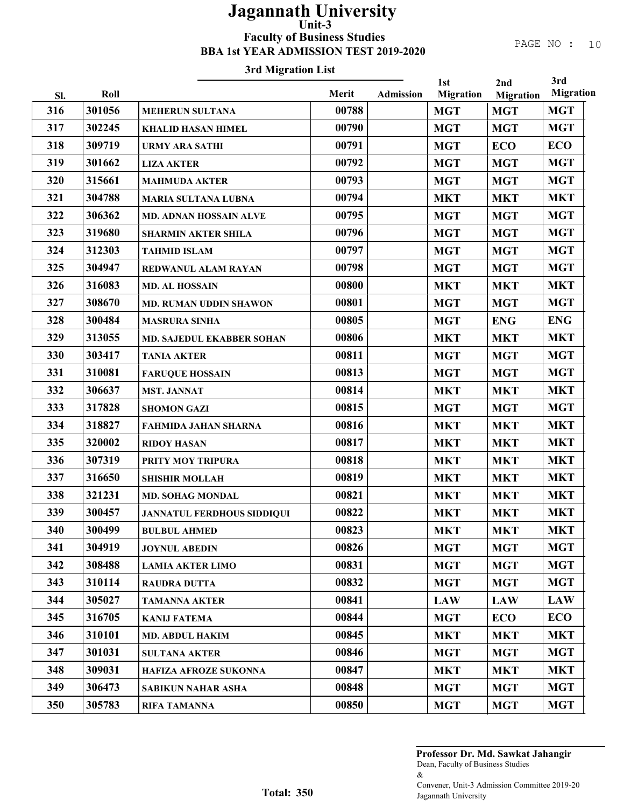#### 3rd Migration List

|     |        |                                   |       | 3rd<br>1st<br>2nd |                  |                  |                  |  |
|-----|--------|-----------------------------------|-------|-------------------|------------------|------------------|------------------|--|
| Sl. | Roll   |                                   | Merit | <b>Admission</b>  | <b>Migration</b> | <b>Migration</b> | <b>Migration</b> |  |
| 316 | 301056 | <b>MEHERUN SULTANA</b>            | 00788 |                   | <b>MGT</b>       | <b>MGT</b>       | <b>MGT</b>       |  |
| 317 | 302245 | <b>KHALID HASAN HIMEL</b>         | 00790 |                   | <b>MGT</b>       | <b>MGT</b>       | <b>MGT</b>       |  |
| 318 | 309719 | <b>URMY ARA SATHI</b>             | 00791 |                   | <b>MGT</b>       | <b>ECO</b>       | <b>ECO</b>       |  |
| 319 | 301662 | <b>LIZA AKTER</b>                 | 00792 |                   | <b>MGT</b>       | <b>MGT</b>       | <b>MGT</b>       |  |
| 320 | 315661 | <b>MAHMUDA AKTER</b>              | 00793 |                   | <b>MGT</b>       | <b>MGT</b>       | <b>MGT</b>       |  |
| 321 | 304788 | <b>MARIA SULTANA LUBNA</b>        | 00794 |                   | <b>MKT</b>       | <b>MKT</b>       | <b>MKT</b>       |  |
| 322 | 306362 | <b>MD. ADNAN HOSSAIN ALVE</b>     | 00795 |                   | <b>MGT</b>       | <b>MGT</b>       | <b>MGT</b>       |  |
| 323 | 319680 | <b>SHARMIN AKTER SHILA</b>        | 00796 |                   | <b>MGT</b>       | <b>MGT</b>       | <b>MGT</b>       |  |
| 324 | 312303 | <b>TAHMID ISLAM</b>               | 00797 |                   | <b>MGT</b>       | <b>MGT</b>       | <b>MGT</b>       |  |
| 325 | 304947 | REDWANUL ALAM RAYAN               | 00798 |                   | <b>MGT</b>       | <b>MGT</b>       | <b>MGT</b>       |  |
| 326 | 316083 | <b>MD. AL HOSSAIN</b>             | 00800 |                   | <b>MKT</b>       | <b>MKT</b>       | <b>MKT</b>       |  |
| 327 | 308670 | MD. RUMAN UDDIN SHAWON            | 00801 |                   | <b>MGT</b>       | <b>MGT</b>       | <b>MGT</b>       |  |
| 328 | 300484 | <b>MASRURA SINHA</b>              | 00805 |                   | <b>MGT</b>       | <b>ENG</b>       | <b>ENG</b>       |  |
| 329 | 313055 | MD. SAJEDUL EKABBER SOHAN         | 00806 |                   | <b>MKT</b>       | <b>MKT</b>       | <b>MKT</b>       |  |
| 330 | 303417 | <b>TANIA AKTER</b>                | 00811 |                   | <b>MGT</b>       | <b>MGT</b>       | <b>MGT</b>       |  |
| 331 | 310081 | <b>FARUQUE HOSSAIN</b>            | 00813 |                   | <b>MGT</b>       | <b>MGT</b>       | <b>MGT</b>       |  |
| 332 | 306637 | <b>MST. JANNAT</b>                | 00814 |                   | <b>MKT</b>       | <b>MKT</b>       | <b>MKT</b>       |  |
| 333 | 317828 | <b>SHOMON GAZI</b>                | 00815 |                   | <b>MGT</b>       | <b>MGT</b>       | <b>MGT</b>       |  |
| 334 | 318827 | <b>FAHMIDA JAHAN SHARNA</b>       | 00816 |                   | <b>MKT</b>       | <b>MKT</b>       | <b>MKT</b>       |  |
| 335 | 320002 | <b>RIDOY HASAN</b>                | 00817 |                   | <b>MKT</b>       | <b>MKT</b>       | <b>MKT</b>       |  |
| 336 | 307319 | PRITY MOY TRIPURA                 | 00818 |                   | <b>MKT</b>       | <b>MKT</b>       | <b>MKT</b>       |  |
| 337 | 316650 | <b>SHISHIR MOLLAH</b>             | 00819 |                   | <b>MKT</b>       | <b>MKT</b>       | <b>MKT</b>       |  |
| 338 | 321231 | <b>MD. SOHAG MONDAL</b>           | 00821 |                   | <b>MKT</b>       | <b>MKT</b>       | <b>MKT</b>       |  |
| 339 | 300457 | <b>JANNATUL FERDHOUS SIDDIQUI</b> | 00822 |                   | <b>MKT</b>       | <b>MKT</b>       | <b>MKT</b>       |  |
| 340 | 300499 | <b>BULBUL AHMED</b>               | 00823 |                   | <b>MKT</b>       | <b>MKT</b>       | <b>MKT</b>       |  |

Dean, Faculty of Business Studies & Convener, Unit-3 Admission Committee 2019-20 Jagannath University Professor Dr. Md. Sawkat Jahangir

341 | 304919 | JOYNUL ABEDIN | 00826 | MGT | MGT | MGT 342 | 308488 | LAMIA AKTER LIMO | 00831 | MGT | MGT | MGT 343 310114 RAUDRA DUTTA 00832 MGT MGT MGT 344 | 305027 | TAMANNA AKTER | 00841 | LAW | LAW | LAW 345 316705 KANIJ FATEMA | 00844 MGT ECO ECO 346 | 310101 | MD. ABDUL HAKIM | 00845 | MKT | MKT | MKT 347 | 301031 | SULTANA AKTER | 00846 | MGT | MGT | MGT 348 309031 HAFIZA AFROZE SUKONNA 00847 MKT MKT MKT 349 306473 SABIKUN NAHAR ASHA 00848 MGT MGT MGT 350 305783 RIFA TAMANNA 100850 00850 MGT MGT MGT MGT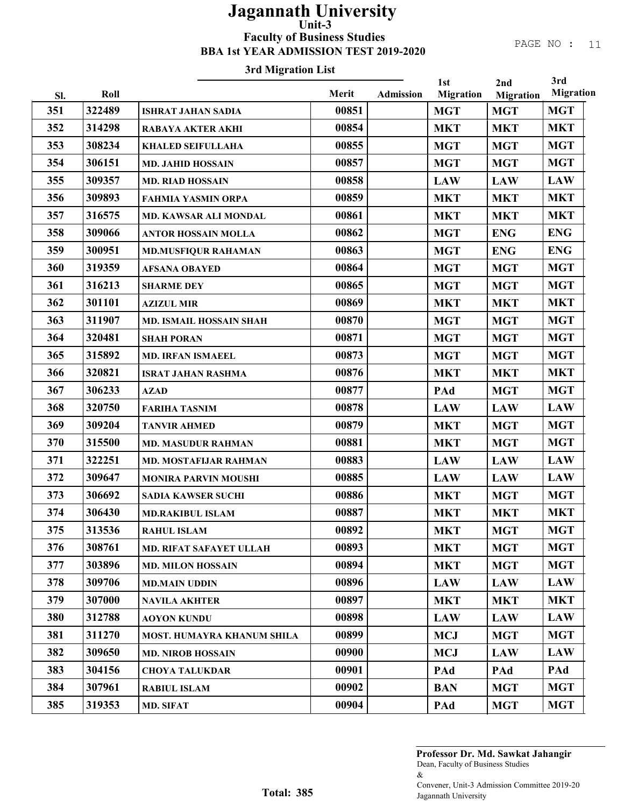# 3rd Migration List

|            |                |                                   | Merit |                  | 1st                            | 2nd                            | 3rd<br><b>Migration</b> |
|------------|----------------|-----------------------------------|-------|------------------|--------------------------------|--------------------------------|-------------------------|
| Sl.<br>351 | Roll<br>322489 |                                   | 00851 | <b>Admission</b> | <b>Migration</b><br><b>MGT</b> | <b>Migration</b><br><b>MGT</b> | <b>MGT</b>              |
| 352        | 314298         | <b>ISHRAT JAHAN SADIA</b>         | 00854 |                  |                                |                                | <b>MKT</b>              |
|            | 308234         | <b>RABAYA AKTER AKHI</b>          | 00855 |                  | <b>MKT</b>                     | <b>MKT</b>                     | <b>MGT</b>              |
| 353        |                | <b>KHALED SEIFULLAHA</b>          |       |                  | <b>MGT</b>                     | <b>MGT</b>                     |                         |
| 354        | 306151         | <b>MD. JAHID HOSSAIN</b>          | 00857 |                  | <b>MGT</b>                     | <b>MGT</b>                     | <b>MGT</b>              |
| 355        | 309357         | <b>MD. RIAD HOSSAIN</b>           | 00858 |                  | <b>LAW</b>                     | <b>LAW</b>                     | <b>LAW</b>              |
| 356        | 309893         | <b>FAHMIA YASMIN ORPA</b>         | 00859 |                  | <b>MKT</b>                     | <b>MKT</b>                     | <b>MKT</b>              |
| 357        | 316575         | MD. KAWSAR ALI MONDAL             | 00861 |                  | <b>MKT</b>                     | <b>MKT</b>                     | <b>MKT</b>              |
| 358        | 309066         | <b>ANTOR HOSSAIN MOLLA</b>        | 00862 |                  | <b>MGT</b>                     | <b>ENG</b>                     | <b>ENG</b>              |
| 359        | 300951         | <b>MD.MUSFIQUR RAHAMAN</b>        | 00863 |                  | <b>MGT</b>                     | <b>ENG</b>                     | <b>ENG</b>              |
| 360        | 319359         | <b>AFSANA OBAYED</b>              | 00864 |                  | <b>MGT</b>                     | <b>MGT</b>                     | <b>MGT</b>              |
| 361        | 316213         | <b>SHARME DEY</b>                 | 00865 |                  | <b>MGT</b>                     | <b>MGT</b>                     | <b>MGT</b>              |
| 362        | 301101         | <b>AZIZUL MIR</b>                 | 00869 |                  | <b>MKT</b>                     | <b>MKT</b>                     | <b>MKT</b>              |
| 363        | 311907         | <b>MD. ISMAIL HOSSAIN SHAH</b>    | 00870 |                  | <b>MGT</b>                     | <b>MGT</b>                     | <b>MGT</b>              |
| 364        | 320481         | <b>SHAH PORAN</b>                 | 00871 |                  | <b>MGT</b>                     | <b>MGT</b>                     | <b>MGT</b>              |
| 365        | 315892         | <b>MD. IRFAN ISMAEEL</b>          | 00873 |                  | <b>MGT</b>                     | <b>MGT</b>                     | <b>MGT</b>              |
| 366        | 320821         | <b>ISRAT JAHAN RASHMA</b>         | 00876 |                  | <b>MKT</b>                     | <b>MKT</b>                     | <b>MKT</b>              |
| 367        | 306233         | <b>AZAD</b>                       | 00877 |                  | PAd                            | <b>MGT</b>                     | <b>MGT</b>              |
| 368        | 320750         | <b>FARIHA TASNIM</b>              | 00878 |                  | <b>LAW</b>                     | <b>LAW</b>                     | <b>LAW</b>              |
| 369        | 309204         | <b>TANVIR AHMED</b>               | 00879 |                  | <b>MKT</b>                     | <b>MGT</b>                     | <b>MGT</b>              |
| 370        | 315500         | <b>MD. MASUDUR RAHMAN</b>         | 00881 |                  | <b>MKT</b>                     | <b>MGT</b>                     | <b>MGT</b>              |
| 371        | 322251         | <b>MD. MOSTAFIJAR RAHMAN</b>      | 00883 |                  | <b>LAW</b>                     | <b>LAW</b>                     | <b>LAW</b>              |
| 372        | 309647         | <b>MONIRA PARVIN MOUSHI</b>       | 00885 |                  | <b>LAW</b>                     | <b>LAW</b>                     | <b>LAW</b>              |
| 373        | 306692         | <b>SADIA KAWSER SUCHI</b>         | 00886 |                  | <b>MKT</b>                     | <b>MGT</b>                     | <b>MGT</b>              |
| 374        | 306430         | <b>MD.RAKIBUL ISLAM</b>           | 00887 |                  | <b>MKT</b>                     | <b>MKT</b>                     | <b>MKT</b>              |
| 375        | 313536         | <b>RAHUL ISLAM</b>                | 00892 |                  | <b>MKT</b>                     | <b>MGT</b>                     | <b>MGT</b>              |
| 376        | 308761         | <b>MD. RIFAT SAFAYET ULLAH</b>    | 00893 |                  | <b>MKT</b>                     | <b>MGT</b>                     | <b>MGT</b>              |
| 377        | 303896         | <b>MD. MILON HOSSAIN</b>          | 00894 |                  | <b>MKT</b>                     | <b>MGT</b>                     | <b>MGT</b>              |
| 378        | 309706         | <b>MD.MAIN UDDIN</b>              | 00896 |                  | <b>LAW</b>                     | <b>LAW</b>                     | <b>LAW</b>              |
| 379        | 307000         | <b>NAVILA AKHTER</b>              | 00897 |                  | <b>MKT</b>                     | <b>MKT</b>                     | <b>MKT</b>              |
| 380        | 312788         | <b>AOYON KUNDU</b>                | 00898 |                  | <b>LAW</b>                     | <b>LAW</b>                     | <b>LAW</b>              |
| 381        | 311270         | <b>MOST. HUMAYRA KHANUM SHILA</b> | 00899 |                  | <b>MCJ</b>                     | <b>MGT</b>                     | <b>MGT</b>              |
| 382        | 309650         | <b>MD. NIROB HOSSAIN</b>          | 00900 |                  | <b>MCJ</b>                     | <b>LAW</b>                     | <b>LAW</b>              |
| 383        | 304156         | <b>CHOYA TALUKDAR</b>             | 00901 |                  | PAd                            | PAd                            | PAd                     |
| 384        | 307961         | <b>RABIUL ISLAM</b>               | 00902 |                  | <b>BAN</b>                     | <b>MGT</b>                     | <b>MGT</b>              |
| 385        | 319353         | MD. SIFAT                         | 00904 |                  | PAd                            | <b>MGT</b>                     | <b>MGT</b>              |
|            |                |                                   |       |                  |                                |                                |                         |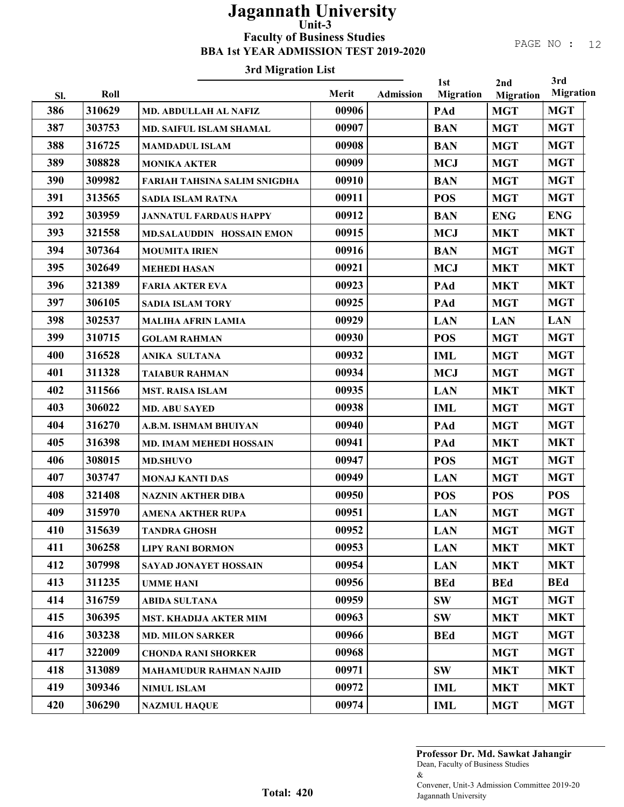#### 3rd Migration List

|     |        |                                     |       |                  | 1st              | 2nd              | 3rd              |
|-----|--------|-------------------------------------|-------|------------------|------------------|------------------|------------------|
| SI. | Roll   |                                     | Merit | <b>Admission</b> | <b>Migration</b> | <b>Migration</b> | <b>Migration</b> |
| 386 | 310629 | MD. ABDULLAH AL NAFIZ               | 00906 |                  | PAd              | <b>MGT</b>       | <b>MGT</b>       |
| 387 | 303753 | <b>MD. SAIFUL ISLAM SHAMAL</b>      | 00907 |                  | <b>BAN</b>       | <b>MGT</b>       | <b>MGT</b>       |
| 388 | 316725 | <b>MAMDADUL ISLAM</b>               | 00908 |                  | <b>BAN</b>       | <b>MGT</b>       | <b>MGT</b>       |
| 389 | 308828 | <b>MONIKA AKTER</b>                 | 00909 |                  | <b>MCJ</b>       | <b>MGT</b>       | <b>MGT</b>       |
| 390 | 309982 | <b>FARIAH TAHSINA SALIM SNIGDHA</b> | 00910 |                  | <b>BAN</b>       | <b>MGT</b>       | <b>MGT</b>       |
| 391 | 313565 | <b>SADIA ISLAM RATNA</b>            | 00911 |                  | <b>POS</b>       | <b>MGT</b>       | <b>MGT</b>       |
| 392 | 303959 | <b>JANNATUL FARDAUS HAPPY</b>       | 00912 |                  | <b>BAN</b>       | <b>ENG</b>       | <b>ENG</b>       |
| 393 | 321558 | MD.SALAUDDIN HOSSAIN EMON           | 00915 |                  | <b>MCJ</b>       | <b>MKT</b>       | <b>MKT</b>       |
| 394 | 307364 | <b>MOUMITA IRIEN</b>                | 00916 |                  | <b>BAN</b>       | <b>MGT</b>       | <b>MGT</b>       |
| 395 | 302649 | <b>MEHEDI HASAN</b>                 | 00921 |                  | <b>MCJ</b>       | <b>MKT</b>       | <b>MKT</b>       |
| 396 | 321389 | <b>FARIA AKTER EVA</b>              | 00923 |                  | PAd              | <b>MKT</b>       | <b>MKT</b>       |
| 397 | 306105 | <b>SADIA ISLAM TORY</b>             | 00925 |                  | PAd              | <b>MGT</b>       | <b>MGT</b>       |
| 398 | 302537 | <b>MALIHA AFRIN LAMIA</b>           | 00929 |                  | <b>LAN</b>       | <b>LAN</b>       | <b>LAN</b>       |
| 399 | 310715 | <b>GOLAM RAHMAN</b>                 | 00930 |                  | <b>POS</b>       | <b>MGT</b>       | <b>MGT</b>       |
| 400 | 316528 | <b>ANIKA SULTANA</b>                | 00932 |                  | <b>IML</b>       | <b>MGT</b>       | <b>MGT</b>       |
| 401 | 311328 | <b>TAIABUR RAHMAN</b>               | 00934 |                  | <b>MCJ</b>       | <b>MGT</b>       | <b>MGT</b>       |
| 402 | 311566 | <b>MST. RAISA ISLAM</b>             | 00935 |                  | <b>LAN</b>       | <b>MKT</b>       | <b>MKT</b>       |
| 403 | 306022 | <b>MD. ABU SAYED</b>                | 00938 |                  | <b>IML</b>       | <b>MGT</b>       | <b>MGT</b>       |
| 404 | 316270 | A.B.M. ISHMAM BHUIYAN               | 00940 |                  | PAd              | <b>MGT</b>       | <b>MGT</b>       |
| 405 | 316398 | MD. IMAM MEHEDI HOSSAIN             | 00941 |                  | PAd              | <b>MKT</b>       | <b>MKT</b>       |
| 406 | 308015 | <b>MD.SHUVO</b>                     | 00947 |                  | <b>POS</b>       | <b>MGT</b>       | <b>MGT</b>       |
| 407 | 303747 | <b>MONAJ KANTI DAS</b>              | 00949 |                  | <b>LAN</b>       | <b>MGT</b>       | <b>MGT</b>       |
| 408 | 321408 | <b>NAZNIN AKTHER DIBA</b>           | 00950 |                  | <b>POS</b>       | <b>POS</b>       | <b>POS</b>       |
| 409 | 315970 | <b>AMENA AKTHER RUPA</b>            | 00951 |                  | <b>LAN</b>       | <b>MGT</b>       | <b>MGT</b>       |
| 410 | 315639 | <b>TANDRA GHOSH</b>                 | 00952 |                  | <b>LAN</b>       | <b>MGT</b>       | <b>MGT</b>       |
| 411 | 306258 | <b>LIPY RANI BORMON</b>             | 00953 |                  | <b>LAN</b>       | <b>MKT</b>       | <b>MKT</b>       |
| 412 | 307998 | <b>SAYAD JONAYET HOSSAIN</b>        | 00954 |                  | <b>LAN</b>       | <b>MKT</b>       | <b>MKT</b>       |
| 413 | 311235 | <b>UMME HANI</b>                    | 00956 |                  | <b>BEd</b>       | <b>BEd</b>       | <b>BEd</b>       |
| 414 | 316759 | <b>ABIDA SULTANA</b>                | 00959 |                  | <b>SW</b>        | <b>MGT</b>       | <b>MGT</b>       |
| 415 | 306395 | <b>MST. KHADIJA AKTER MIM</b>       | 00963 |                  | <b>SW</b>        | <b>MKT</b>       | <b>MKT</b>       |
| 416 | 303238 | <b>MD. MILON SARKER</b>             | 00966 |                  | <b>BEd</b>       | <b>MGT</b>       | <b>MGT</b>       |
| 417 | 322009 | <b>CHONDA RANI SHORKER</b>          | 00968 |                  |                  | <b>MGT</b>       | <b>MGT</b>       |
| 418 | 313089 | <b>MAHAMUDUR RAHMAN NAJID</b>       | 00971 |                  | <b>SW</b>        | <b>MKT</b>       | <b>MKT</b>       |
| 419 | 309346 | <b>NIMUL ISLAM</b>                  | 00972 |                  | <b>IML</b>       | <b>MKT</b>       | <b>MKT</b>       |
| 420 | 306290 | <b>NAZMUL HAQUE</b>                 | 00974 |                  | <b>IML</b>       | <b>MGT</b>       | <b>MGT</b>       |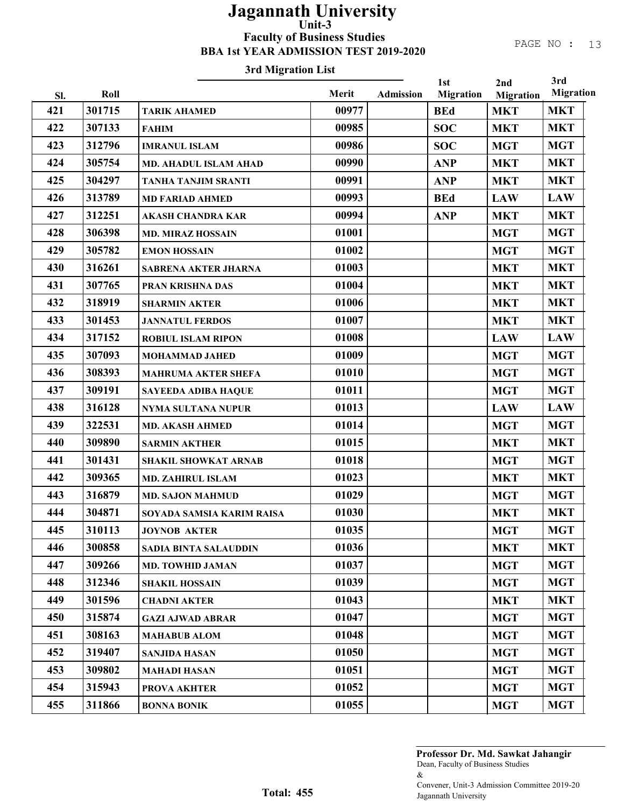# 3rd Migration List

|            |        |                              |                |                  | 1st              | 2nd              | 3rd<br><b>Migration</b> |
|------------|--------|------------------------------|----------------|------------------|------------------|------------------|-------------------------|
| Sl.<br>421 | Roll   |                              | Merit<br>00977 | <b>Admission</b> | <b>Migration</b> | <b>Migration</b> |                         |
|            | 301715 | <b>TARIK AHAMED</b>          |                |                  | <b>BEd</b>       | <b>MKT</b>       | <b>MKT</b>              |
| 422        | 307133 | <b>FAHIM</b>                 | 00985          |                  | <b>SOC</b>       | <b>MKT</b>       | <b>MKT</b>              |
| 423        | 312796 | <b>IMRANUL ISLAM</b>         | 00986          |                  | <b>SOC</b>       | <b>MGT</b>       | <b>MGT</b>              |
| 424        | 305754 | <b>MD. AHADUL ISLAM AHAD</b> | 00990          |                  | <b>ANP</b>       | <b>MKT</b>       | <b>MKT</b>              |
| 425        | 304297 | <b>TANHA TANJIM SRANTI</b>   | 00991          |                  | <b>ANP</b>       | <b>MKT</b>       | <b>MKT</b>              |
| 426        | 313789 | <b>MD FARIAD AHMED</b>       | 00993          |                  | <b>BEd</b>       | <b>LAW</b>       | <b>LAW</b>              |
| 427        | 312251 | <b>AKASH CHANDRA KAR</b>     | 00994          |                  | <b>ANP</b>       | <b>MKT</b>       | <b>MKT</b>              |
| 428        | 306398 | <b>MD. MIRAZ HOSSAIN</b>     | 01001          |                  |                  | <b>MGT</b>       | <b>MGT</b>              |
| 429        | 305782 | <b>EMON HOSSAIN</b>          | 01002          |                  |                  | <b>MGT</b>       | <b>MGT</b>              |
| 430        | 316261 | SABRENA AKTER JHARNA         | 01003          |                  |                  | <b>MKT</b>       | <b>MKT</b>              |
| 431        | 307765 | PRAN KRISHNA DAS             | 01004          |                  |                  | <b>MKT</b>       | <b>MKT</b>              |
| 432        | 318919 | <b>SHARMIN AKTER</b>         | 01006          |                  |                  | <b>MKT</b>       | <b>MKT</b>              |
| 433        | 301453 | <b>JANNATUL FERDOS</b>       | 01007          |                  |                  | <b>MKT</b>       | <b>MKT</b>              |
| 434        | 317152 | <b>ROBIUL ISLAM RIPON</b>    | 01008          |                  |                  | <b>LAW</b>       | <b>LAW</b>              |
| 435        | 307093 | <b>MOHAMMAD JAHED</b>        | 01009          |                  |                  | <b>MGT</b>       | <b>MGT</b>              |
| 436        | 308393 | <b>MAHRUMA AKTER SHEFA</b>   | 01010          |                  |                  | <b>MGT</b>       | <b>MGT</b>              |
| 437        | 309191 | <b>SAYEEDA ADIBA HAQUE</b>   | 01011          |                  |                  | <b>MGT</b>       | <b>MGT</b>              |
| 438        | 316128 | NYMA SULTANA NUPUR           | 01013          |                  |                  | <b>LAW</b>       | <b>LAW</b>              |
| 439        | 322531 | <b>MD. AKASH AHMED</b>       | 01014          |                  |                  | <b>MGT</b>       | <b>MGT</b>              |
| 440        | 309890 | <b>SARMIN AKTHER</b>         | 01015          |                  |                  | <b>MKT</b>       | <b>MKT</b>              |
| 441        | 301431 | <b>SHAKIL SHOWKAT ARNAB</b>  | 01018          |                  |                  | <b>MGT</b>       | <b>MGT</b>              |
| 442        | 309365 | <b>MD. ZAHIRUL ISLAM</b>     | 01023          |                  |                  | <b>MKT</b>       | <b>MKT</b>              |
| 443        | 316879 | <b>MD. SAJON MAHMUD</b>      | 01029          |                  |                  | <b>MGT</b>       | <b>MGT</b>              |
| 444        | 304871 | SOYADA SAMSIA KARIM RAISA    | 01030          |                  |                  | <b>MKT</b>       | <b>MKT</b>              |
| 445        | 310113 | <b>JOYNOB AKTER</b>          | 01035          |                  |                  | <b>MGT</b>       | <b>MGT</b>              |
| 446        | 300858 | <b>SADIA BINTA SALAUDDIN</b> | 01036          |                  |                  | <b>MKT</b>       | <b>MKT</b>              |
| 447        | 309266 | <b>MD. TOWHID JAMAN</b>      | 01037          |                  |                  | <b>MGT</b>       | <b>MGT</b>              |
| 448        | 312346 | <b>SHAKIL HOSSAIN</b>        | 01039          |                  |                  | <b>MGT</b>       | <b>MGT</b>              |
| 449        | 301596 | <b>CHADNI AKTER</b>          | 01043          |                  |                  | <b>MKT</b>       | <b>MKT</b>              |
| 450        | 315874 | <b>GAZI AJWAD ABRAR</b>      | 01047          |                  |                  | <b>MGT</b>       | <b>MGT</b>              |
| 451        | 308163 | <b>MAHABUB ALOM</b>          | 01048          |                  |                  | <b>MGT</b>       | <b>MGT</b>              |
| 452        | 319407 | <b>SANJIDA HASAN</b>         | 01050          |                  |                  | <b>MGT</b>       | <b>MGT</b>              |
| 453        | 309802 | <b>MAHADI HASAN</b>          | 01051          |                  |                  | <b>MGT</b>       | <b>MGT</b>              |
| 454        | 315943 | <b>PROVA AKHTER</b>          | 01052          |                  |                  | <b>MGT</b>       | <b>MGT</b>              |
| 455        | 311866 | <b>BONNA BONIK</b>           | 01055          |                  |                  | <b>MGT</b>       | <b>MGT</b>              |
|            |        |                              |                |                  |                  |                  |                         |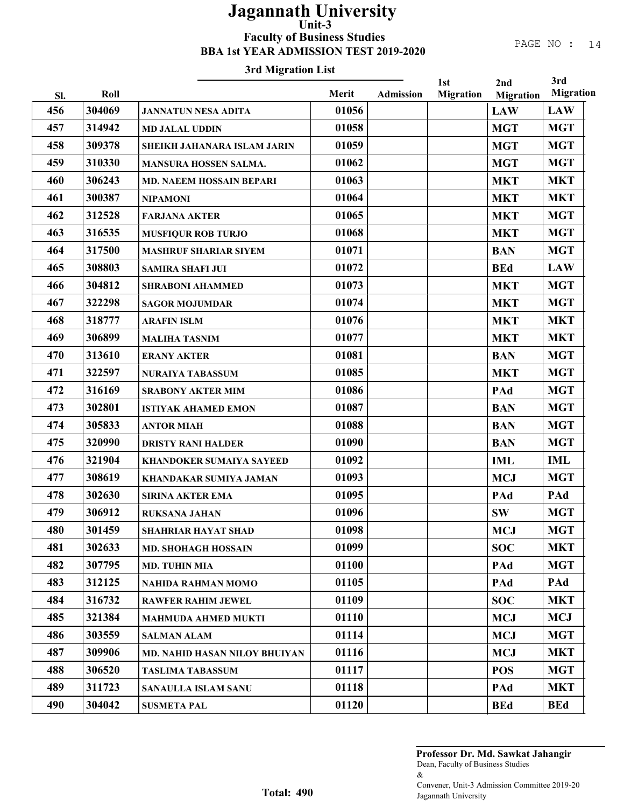### PAGE NO : 14

### 3rd Migration List

| Sl. | Roll   | n a migianon ma                      | Merit | Admission | 1st<br><b>Migration</b> | 2nd<br><b>Migration</b> | 3rd<br><b>Migration</b> |
|-----|--------|--------------------------------------|-------|-----------|-------------------------|-------------------------|-------------------------|
| 456 | 304069 | <b>JANNATUN NESA ADITA</b>           | 01056 |           |                         | <b>LAW</b>              | <b>LAW</b>              |
| 457 | 314942 | <b>MD JALAL UDDIN</b>                | 01058 |           |                         | <b>MGT</b>              | <b>MGT</b>              |
| 458 | 309378 | SHEIKH JAHANARA ISLAM JARIN          | 01059 |           |                         | <b>MGT</b>              | <b>MGT</b>              |
| 459 | 310330 | MANSURA HOSSEN SALMA.                | 01062 |           |                         | <b>MGT</b>              | <b>MGT</b>              |
| 460 | 306243 | MD. NAEEM HOSSAIN BEPARI             | 01063 |           |                         | <b>MKT</b>              | <b>MKT</b>              |
| 461 | 300387 | <b>NIPAMONI</b>                      | 01064 |           |                         | <b>MKT</b>              | <b>MKT</b>              |
| 462 | 312528 | <b>FARJANA AKTER</b>                 | 01065 |           |                         | <b>MKT</b>              | <b>MGT</b>              |
| 463 | 316535 | <b>MUSFIQUR ROB TURJO</b>            | 01068 |           |                         | <b>MKT</b>              | <b>MGT</b>              |
| 464 | 317500 | <b>MASHRUF SHARIAR SIYEM</b>         | 01071 |           |                         | <b>BAN</b>              | <b>MGT</b>              |
| 465 | 308803 | <b>SAMIRA SHAFI JUI</b>              | 01072 |           |                         | <b>BEd</b>              | <b>LAW</b>              |
| 466 | 304812 | <b>SHRABONI AHAMMED</b>              | 01073 |           |                         | <b>MKT</b>              | <b>MGT</b>              |
| 467 | 322298 | <b>SAGOR MOJUMDAR</b>                | 01074 |           |                         | <b>MKT</b>              | <b>MGT</b>              |
| 468 | 318777 | <b>ARAFIN ISLM</b>                   | 01076 |           |                         | <b>MKT</b>              | <b>MKT</b>              |
| 469 | 306899 | <b>MALIHA TASNIM</b>                 | 01077 |           |                         | <b>MKT</b>              | <b>MKT</b>              |
| 470 | 313610 | <b>ERANY AKTER</b>                   | 01081 |           |                         | <b>BAN</b>              | <b>MGT</b>              |
| 471 | 322597 | <b>NURAIYA TABASSUM</b>              | 01085 |           |                         | <b>MKT</b>              | <b>MGT</b>              |
| 472 | 316169 | <b>SRABONY AKTER MIM</b>             | 01086 |           |                         | PAd                     | <b>MGT</b>              |
| 473 | 302801 | <b>ISTIYAK AHAMED EMON</b>           | 01087 |           |                         | <b>BAN</b>              | <b>MGT</b>              |
| 474 | 305833 | <b>ANTOR MIAH</b>                    | 01088 |           |                         | <b>BAN</b>              | <b>MGT</b>              |
| 475 | 320990 | <b>DRISTY RANI HALDER</b>            | 01090 |           |                         | <b>BAN</b>              | <b>MGT</b>              |
| 476 | 321904 | <b>KHANDOKER SUMAIYA SAYEED</b>      | 01092 |           |                         | <b>IML</b>              | <b>IML</b>              |
| 477 | 308619 | KHANDAKAR SUMIYA JAMAN               | 01093 |           |                         | <b>MCJ</b>              | <b>MGT</b>              |
| 478 | 302630 | <b>SIRINA AKTER EMA</b>              | 01095 |           |                         | PAd                     | PAd                     |
| 479 | 306912 | RUKSANA JAHAN                        | 01096 |           |                         | <b>SW</b>               | <b>MGT</b>              |
| 480 | 301459 | SHAHRIAR HAYAT SHAD                  | 01098 |           |                         | <b>MCJ</b>              | <b>MGT</b>              |
| 481 | 302633 | <b>MD. SHOHAGH HOSSAIN</b>           | 01099 |           |                         | <b>SOC</b>              | <b>MKT</b>              |
| 482 | 307795 | <b>MD. TUHIN MIA</b>                 | 01100 |           |                         | PAd                     | <b>MGT</b>              |
| 483 | 312125 | NAHIDA RAHMAN MOMO                   | 01105 |           |                         | PAd                     | PAd                     |
| 484 | 316732 | <b>RAWFER RAHIM JEWEL</b>            | 01109 |           |                         | <b>SOC</b>              | <b>MKT</b>              |
| 485 | 321384 | <b>MAHMUDA AHMED MUKTI</b>           | 01110 |           |                         | <b>MCJ</b>              | <b>MCJ</b>              |
| 486 | 303559 | <b>SALMAN ALAM</b>                   | 01114 |           |                         | <b>MCJ</b>              | <b>MGT</b>              |
| 487 | 309906 | <b>MD. NAHID HASAN NILOY BHUIYAN</b> | 01116 |           |                         | <b>MCJ</b>              | <b>MKT</b>              |
| 488 | 306520 | <b>TASLIMA TABASSUM</b>              | 01117 |           |                         | <b>POS</b>              | <b>MGT</b>              |
| 489 | 311723 | SANAULLA ISLAM SANU                  | 01118 |           |                         | PAd                     | <b>MKT</b>              |
| 490 | 304042 | <b>SUSMETA PAL</b>                   | 01120 |           |                         | <b>BEd</b>              | <b>BEd</b>              |